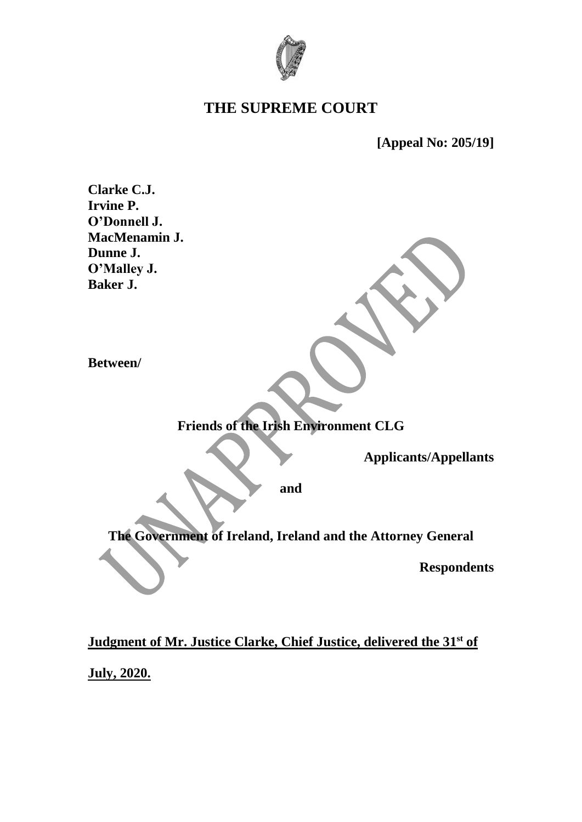

# **THE SUPREME COURT**

**[Appeal No: 205/19]** 

**Clarke C.J. Irvine P. O'Donnell J. MacMenamin J. Dunne J. O'Malley J. Baker J.**

**Between/**

**Friends of the Irish Environment CLG**

**Applicants/Appellants**

**and**

**The Government of Ireland, Ireland and the Attorney General**

**Respondents**

**Judgment of Mr. Justice Clarke, Chief Justice, delivered the 31st of** 

**July, 2020.**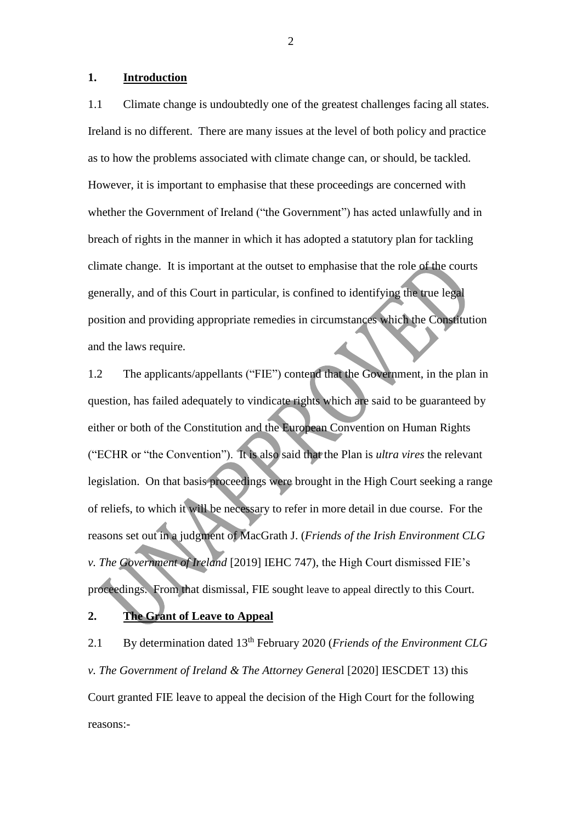#### **1. Introduction**

1.1 Climate change is undoubtedly one of the greatest challenges facing all states. Ireland is no different. There are many issues at the level of both policy and practice as to how the problems associated with climate change can, or should, be tackled. However, it is important to emphasise that these proceedings are concerned with whether the Government of Ireland ("the Government") has acted unlawfully and in breach of rights in the manner in which it has adopted a statutory plan for tackling climate change. It is important at the outset to emphasise that the role of the courts generally, and of this Court in particular, is confined to identifying the true legal position and providing appropriate remedies in circumstances which the Constitution and the laws require.

1.2 The applicants/appellants ("FIE") contend that the Government, in the plan in question, has failed adequately to vindicate rights which are said to be guaranteed by either or both of the Constitution and the European Convention on Human Rights ("ECHR or "the Convention"). It is also said that the Plan is *ultra vires* the relevant legislation. On that basis proceedings were brought in the High Court seeking a range of reliefs, to which it will be necessary to refer in more detail in due course. For the reasons set out in a judgment of MacGrath J. (*Friends of the Irish Environment CLG v. The Government of Ireland* [2019] IEHC 747), the High Court dismissed FIE's proceedings. From that dismissal, FIE sought leave to appeal directly to this Court.

### **2. The Grant of Leave to Appeal**

2.1 By determination dated 13th February 2020 (*Friends of the Environment CLG v. The Government of Ireland & The Attorney Genera*l [2020] IESCDET 13) this Court granted FIE leave to appeal the decision of the High Court for the following reasons:-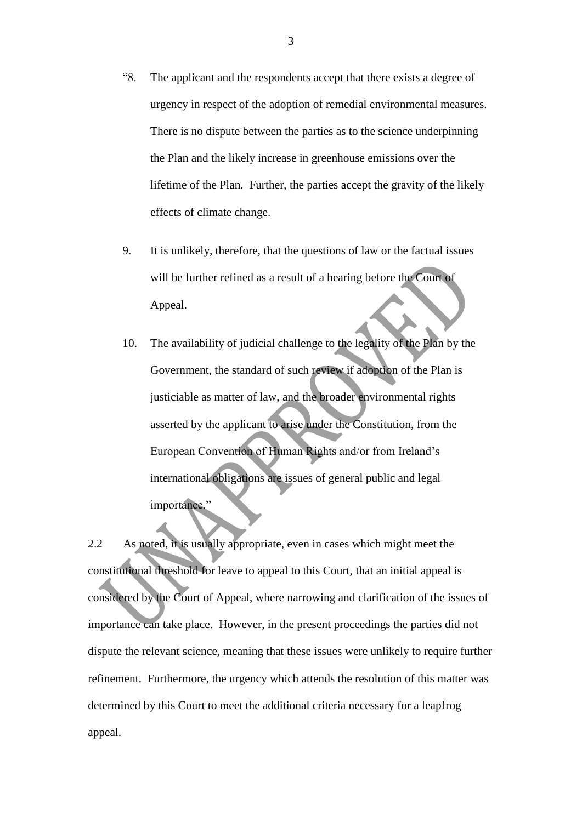- "8. The applicant and the respondents accept that there exists a degree of urgency in respect of the adoption of remedial environmental measures. There is no dispute between the parties as to the science underpinning the Plan and the likely increase in greenhouse emissions over the lifetime of the Plan. Further, the parties accept the gravity of the likely effects of climate change.
- 9. It is unlikely, therefore, that the questions of law or the factual issues will be further refined as a result of a hearing before the Court of Appeal.
- 10. The availability of judicial challenge to the legality of the Plan by the Government, the standard of such review if adoption of the Plan is justiciable as matter of law, and the broader environmental rights asserted by the applicant to arise under the Constitution, from the European Convention of Human Rights and/or from Ireland's international obligations are issues of general public and legal importance.

2.2 As noted, it is usually appropriate, even in cases which might meet the constitutional threshold for leave to appeal to this Court, that an initial appeal is considered by the Court of Appeal, where narrowing and clarification of the issues of importance can take place. However, in the present proceedings the parties did not dispute the relevant science, meaning that these issues were unlikely to require further refinement. Furthermore, the urgency which attends the resolution of this matter was determined by this Court to meet the additional criteria necessary for a leapfrog appeal.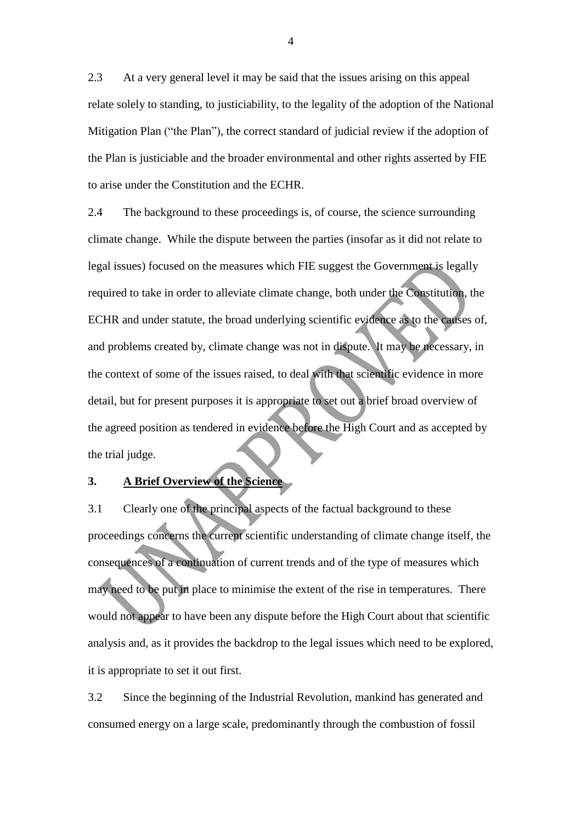2.3 At a very general level it may be said that the issues arising on this appeal relate solely to standing, to justiciability, to the legality of the adoption of the National Mitigation Plan ("the Plan"), the correct standard of judicial review if the adoption of the Plan is justiciable and the broader environmental and other rights asserted by FIE to arise under the Constitution and the ECHR.

2.4 The background to these proceedings is, of course, the science surrounding climate change. While the dispute between the parties (insofar as it did not relate to legal issues) focused on the measures which FIE suggest the Government is legally required to take in order to alleviate climate change, both under the Constitution, the ECHR and under statute, the broad underlying scientific evidence as to the causes of, and problems created by, climate change was not in dispute. It may be necessary, in the context of some of the issues raised, to deal with that scientific evidence in more detail, but for present purposes it is appropriate to set out a brief broad overview of the agreed position as tendered in evidence before the High Court and as accepted by the trial judge.

## **3. A Brief Overview of the Science**

3.1 Clearly one of the principal aspects of the factual background to these proceedings concerns the current scientific understanding of climate change itself, the consequences of a continuation of current trends and of the type of measures which may need to be put in place to minimise the extent of the rise in temperatures. There would not appear to have been any dispute before the High Court about that scientific analysis and, as it provides the backdrop to the legal issues which need to be explored, it is appropriate to set it out first.

3.2 Since the beginning of the Industrial Revolution, mankind has generated and consumed energy on a large scale, predominantly through the combustion of fossil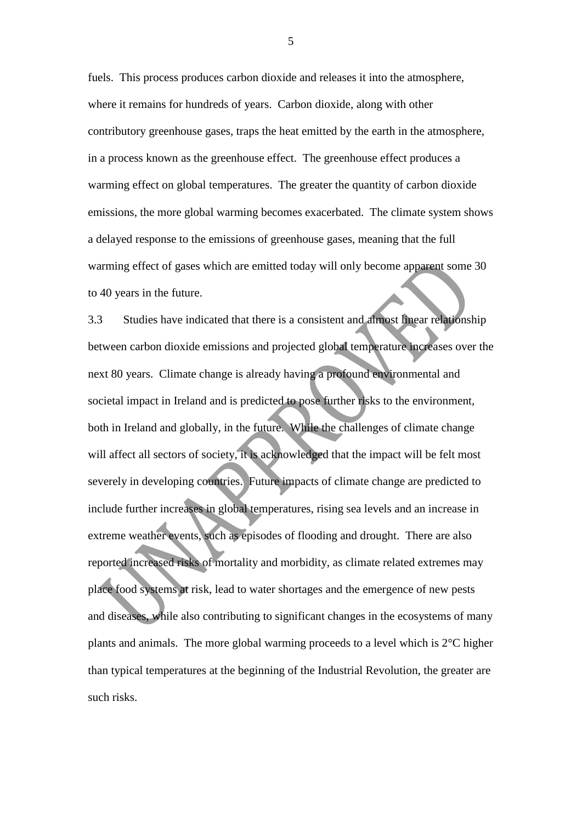fuels. This process produces carbon dioxide and releases it into the atmosphere, where it remains for hundreds of years. Carbon dioxide, along with other contributory greenhouse gases, traps the heat emitted by the earth in the atmosphere, in a process known as the greenhouse effect. The greenhouse effect produces a warming effect on global temperatures. The greater the quantity of carbon dioxide emissions, the more global warming becomes exacerbated. The climate system shows a delayed response to the emissions of greenhouse gases, meaning that the full warming effect of gases which are emitted today will only become apparent some 30 to 40 years in the future.

3.3 Studies have indicated that there is a consistent and almost linear relationship between carbon dioxide emissions and projected global temperature increases over the next 80 years. Climate change is already having a profound environmental and societal impact in Ireland and is predicted to pose further risks to the environment, both in Ireland and globally, in the future. While the challenges of climate change will affect all sectors of society, it is acknowledged that the impact will be felt most severely in developing countries. Future impacts of climate change are predicted to include further increases in global temperatures, rising sea levels and an increase in extreme weather events, such as episodes of flooding and drought. There are also reported increased risks of mortality and morbidity, as climate related extremes may place food systems at risk, lead to water shortages and the emergence of new pests and diseases, while also contributing to significant changes in the ecosystems of many plants and animals. The more global warming proceeds to a level which is 2°C higher than typical temperatures at the beginning of the Industrial Revolution, the greater are such risks.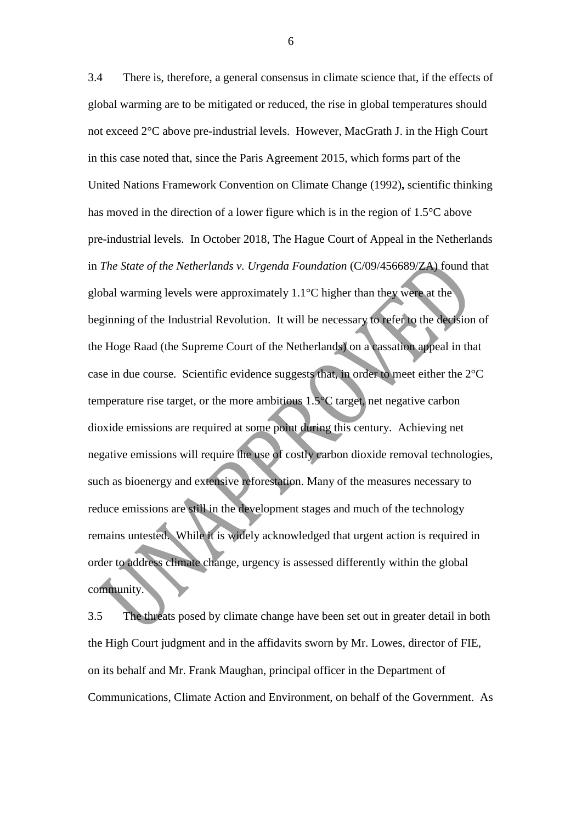3.4 There is, therefore, a general consensus in climate science that, if the effects of global warming are to be mitigated or reduced, the rise in global temperatures should not exceed 2°C above pre-industrial levels. However, MacGrath J. in the High Court in this case noted that, since the Paris Agreement 2015, which forms part of the United Nations Framework Convention on Climate Change (1992)**,** scientific thinking has moved in the direction of a lower figure which is in the region of 1.5°C above pre-industrial levels. In October 2018, The Hague Court of Appeal in the Netherlands in *The State of the Netherlands v. Urgenda Foundation* (C/09/456689/ZA) found that global warming levels were approximately 1.1°C higher than they were at the beginning of the Industrial Revolution. It will be necessary to refer to the decision of the Hoge Raad (the Supreme Court of the Netherlands) on a cassation appeal in that case in due course. Scientific evidence suggests that, in order to meet either the 2°C temperature rise target, or the more ambitious 1.5°C target, net negative carbon dioxide emissions are required at some point during this century. Achieving net negative emissions will require the use of costly carbon dioxide removal technologies, such as bioenergy and extensive reforestation. Many of the measures necessary to reduce emissions are still in the development stages and much of the technology remains untested. While it is widely acknowledged that urgent action is required in order to address climate change, urgency is assessed differently within the global community.

3.5 The threats posed by climate change have been set out in greater detail in both the High Court judgment and in the affidavits sworn by Mr. Lowes, director of FIE, on its behalf and Mr. Frank Maughan, principal officer in the Department of Communications, Climate Action and Environment, on behalf of the Government. As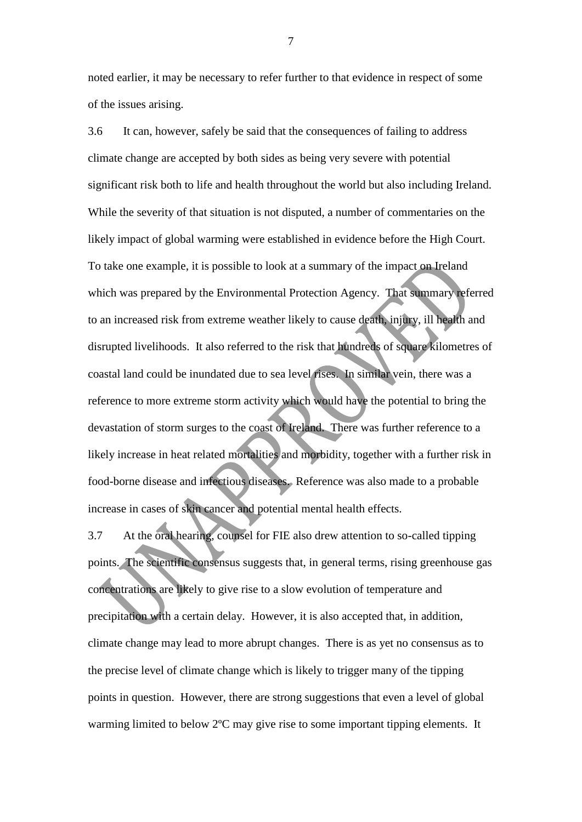noted earlier, it may be necessary to refer further to that evidence in respect of some of the issues arising.

3.6 It can, however, safely be said that the consequences of failing to address climate change are accepted by both sides as being very severe with potential significant risk both to life and health throughout the world but also including Ireland. While the severity of that situation is not disputed, a number of commentaries on the likely impact of global warming were established in evidence before the High Court. To take one example, it is possible to look at a summary of the impact on Ireland which was prepared by the Environmental Protection Agency. That summary referred to an increased risk from extreme weather likely to cause death, injury, ill health and disrupted livelihoods. It also referred to the risk that hundreds of square kilometres of coastal land could be inundated due to sea level rises. In similar vein, there was a reference to more extreme storm activity which would have the potential to bring the devastation of storm surges to the coast of Ireland. There was further reference to a likely increase in heat related mortalities and morbidity, together with a further risk in food-borne disease and infectious diseases. Reference was also made to a probable increase in cases of skin cancer and potential mental health effects.

3.7 At the oral hearing, counsel for FIE also drew attention to so-called tipping points. The scientific consensus suggests that, in general terms, rising greenhouse gas concentrations are likely to give rise to a slow evolution of temperature and precipitation with a certain delay. However, it is also accepted that, in addition, climate change may lead to more abrupt changes. There is as yet no consensus as to the precise level of climate change which is likely to trigger many of the tipping points in question. However, there are strong suggestions that even a level of global warming limited to below 2ºC may give rise to some important tipping elements. It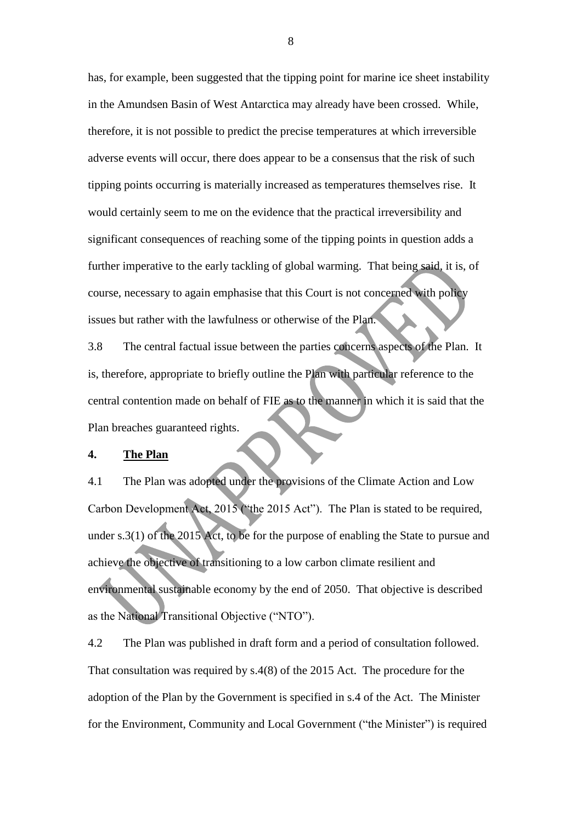has, for example, been suggested that the tipping point for marine ice sheet instability in the Amundsen Basin of West Antarctica may already have been crossed. While, therefore, it is not possible to predict the precise temperatures at which irreversible adverse events will occur, there does appear to be a consensus that the risk of such tipping points occurring is materially increased as temperatures themselves rise. It would certainly seem to me on the evidence that the practical irreversibility and significant consequences of reaching some of the tipping points in question adds a further imperative to the early tackling of global warming. That being said, it is, of course, necessary to again emphasise that this Court is not concerned with policy issues but rather with the lawfulness or otherwise of the Plan.

3.8 The central factual issue between the parties concerns aspects of the Plan. It is, therefore, appropriate to briefly outline the Plan with particular reference to the central contention made on behalf of FIE as to the manner in which it is said that the Plan breaches guaranteed rights.

#### **4. The Plan**

4.1 The Plan was adopted under the provisions of the Climate Action and Low Carbon Development Act, 2015 ("the 2015 Act"). The Plan is stated to be required, under s.3(1) of the 2015 Act, to be for the purpose of enabling the State to pursue and achieve the objective of transitioning to a low carbon climate resilient and environmental sustainable economy by the end of 2050. That objective is described as the National Transitional Objective ("NTO").

4.2 The Plan was published in draft form and a period of consultation followed. That consultation was required by s.4(8) of the 2015 Act. The procedure for the adoption of the Plan by the Government is specified in s.4 of the Act. The Minister for the Environment, Community and Local Government ("the Minister") is required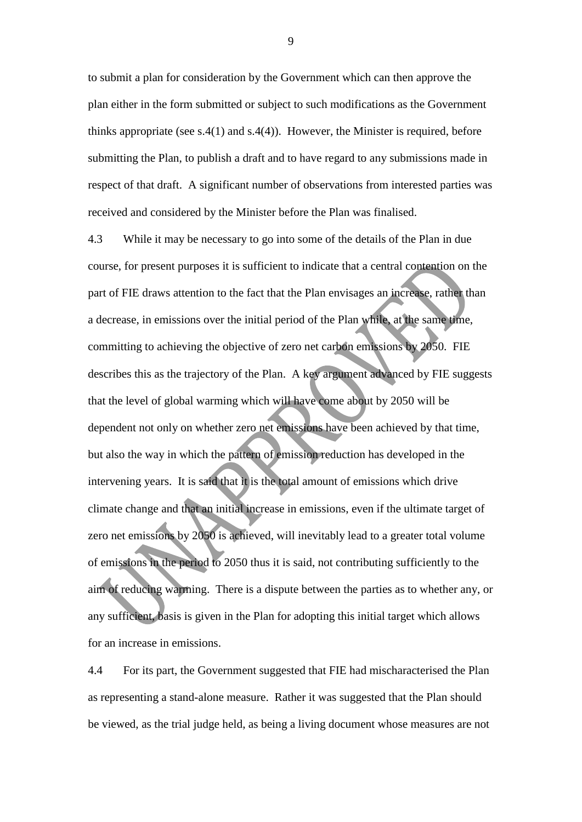to submit a plan for consideration by the Government which can then approve the plan either in the form submitted or subject to such modifications as the Government thinks appropriate (see  $s.4(1)$  and  $s.4(4)$ ). However, the Minister is required, before submitting the Plan, to publish a draft and to have regard to any submissions made in respect of that draft. A significant number of observations from interested parties was received and considered by the Minister before the Plan was finalised.

4.3 While it may be necessary to go into some of the details of the Plan in due course, for present purposes it is sufficient to indicate that a central contention on the part of FIE draws attention to the fact that the Plan envisages an increase, rather than a decrease, in emissions over the initial period of the Plan while, at the same time, committing to achieving the objective of zero net carbon emissions by 2050. FIE describes this as the trajectory of the Plan. A key argument advanced by FIE suggests that the level of global warming which will have come about by 2050 will be dependent not only on whether zero net emissions have been achieved by that time, but also the way in which the pattern of emission reduction has developed in the intervening years. It is said that it is the total amount of emissions which drive climate change and that an initial increase in emissions, even if the ultimate target of zero net emissions by 2050 is achieved, will inevitably lead to a greater total volume of emissions in the period to 2050 thus it is said, not contributing sufficiently to the aim of reducing warming. There is a dispute between the parties as to whether any, or any sufficient, basis is given in the Plan for adopting this initial target which allows for an increase in emissions.

4.4 For its part, the Government suggested that FIE had mischaracterised the Plan as representing a stand-alone measure. Rather it was suggested that the Plan should be viewed, as the trial judge held, as being a living document whose measures are not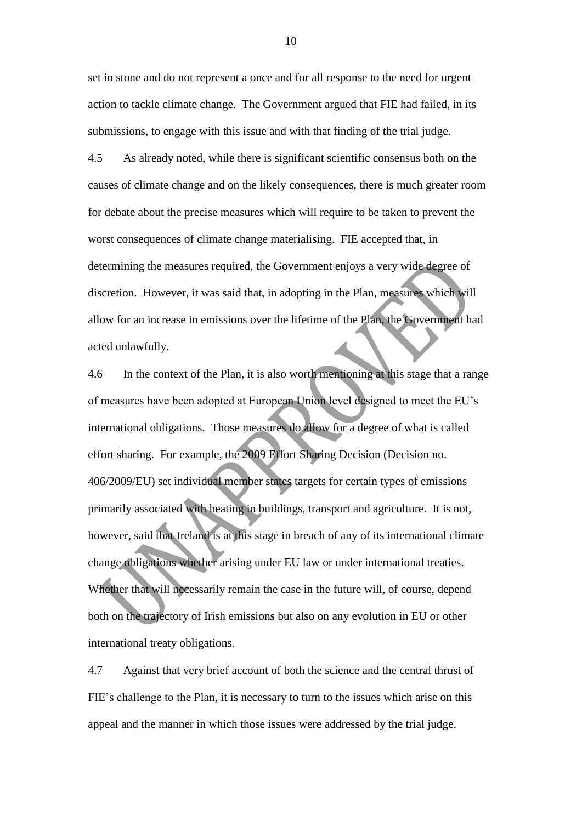set in stone and do not represent a once and for all response to the need for urgent action to tackle climate change. The Government argued that FIE had failed, in its submissions, to engage with this issue and with that finding of the trial judge.

4.5 As already noted, while there is significant scientific consensus both on the causes of climate change and on the likely consequences, there is much greater room for debate about the precise measures which will require to be taken to prevent the worst consequences of climate change materialising. FIE accepted that, in determining the measures required, the Government enjoys a very wide degree of discretion. However, it was said that, in adopting in the Plan, measures which will allow for an increase in emissions over the lifetime of the Plan, the Government had acted unlawfully.

4.6 In the context of the Plan, it is also worth mentioning at this stage that a range of measures have been adopted at European Union level designed to meet the EU's international obligations. Those measures do allow for a degree of what is called effort sharing. For example, the 2009 Effort Sharing Decision (Decision no. 406/2009/EU) set individual member states targets for certain types of emissions primarily associated with heating in buildings, transport and agriculture. It is not, however, said that Ireland is at this stage in breach of any of its international climate change obligations whether arising under EU law or under international treaties. Whether that will necessarily remain the case in the future will, of course, depend both on the trajectory of Irish emissions but also on any evolution in EU or other international treaty obligations.

4.7 Against that very brief account of both the science and the central thrust of FIE's challenge to the Plan, it is necessary to turn to the issues which arise on this appeal and the manner in which those issues were addressed by the trial judge.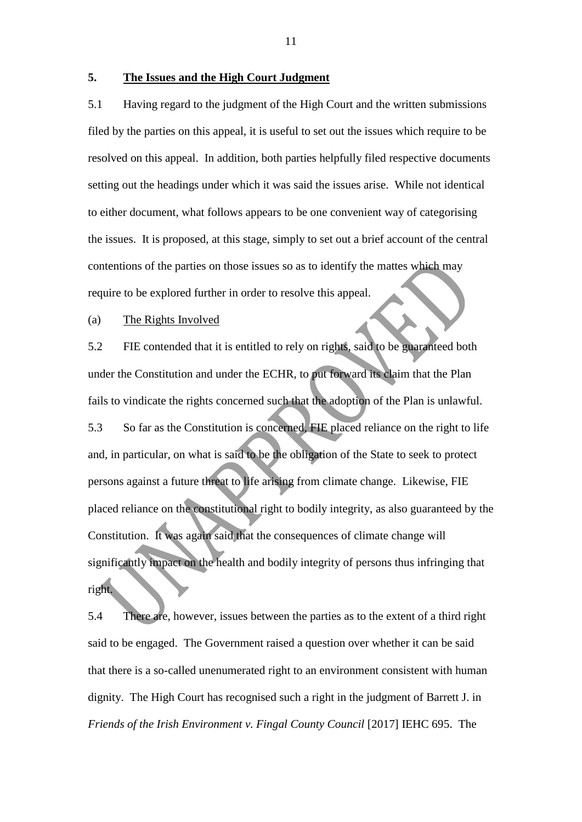#### **5. The Issues and the High Court Judgment**

5.1 Having regard to the judgment of the High Court and the written submissions filed by the parties on this appeal, it is useful to set out the issues which require to be resolved on this appeal. In addition, both parties helpfully filed respective documents setting out the headings under which it was said the issues arise. While not identical to either document, what follows appears to be one convenient way of categorising the issues. It is proposed, at this stage, simply to set out a brief account of the central contentions of the parties on those issues so as to identify the mattes which may require to be explored further in order to resolve this appeal.

#### (a) The Rights Involved

5.2 FIE contended that it is entitled to rely on rights, said to be guaranteed both under the Constitution and under the ECHR, to put forward its claim that the Plan fails to vindicate the rights concerned such that the adoption of the Plan is unlawful. 5.3 So far as the Constitution is concerned, FIE placed reliance on the right to life and, in particular, on what is said to be the obligation of the State to seek to protect persons against a future threat to life arising from climate change. Likewise, FIE placed reliance on the constitutional right to bodily integrity, as also guaranteed by the Constitution. It was again said that the consequences of climate change will significantly impact on the health and bodily integrity of persons thus infringing that right.

5.4 There are, however, issues between the parties as to the extent of a third right said to be engaged. The Government raised a question over whether it can be said that there is a so-called unenumerated right to an environment consistent with human dignity. The High Court has recognised such a right in the judgment of Barrett J. in *Friends of the Irish Environment v. Fingal County Council* [2017] IEHC 695. The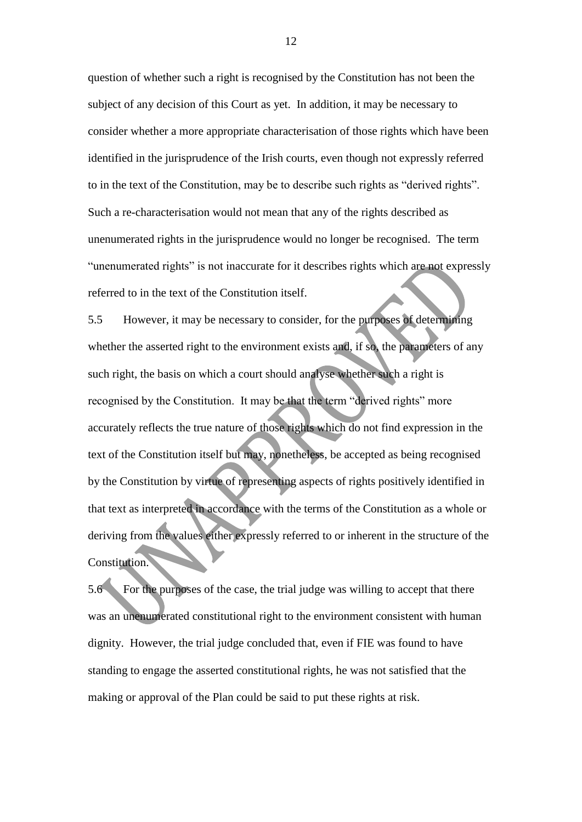question of whether such a right is recognised by the Constitution has not been the subject of any decision of this Court as yet. In addition, it may be necessary to consider whether a more appropriate characterisation of those rights which have been identified in the jurisprudence of the Irish courts, even though not expressly referred to in the text of the Constitution, may be to describe such rights as "derived rights". Such a re-characterisation would not mean that any of the rights described as unenumerated rights in the jurisprudence would no longer be recognised. The term "unenumerated rights" is not inaccurate for it describes rights which are not expressly referred to in the text of the Constitution itself.

5.5 However, it may be necessary to consider, for the purposes of determining whether the asserted right to the environment exists and, if so, the parameters of any such right, the basis on which a court should analyse whether such a right is recognised by the Constitution. It may be that the term "derived rights" more accurately reflects the true nature of those rights which do not find expression in the text of the Constitution itself but may, nonetheless, be accepted as being recognised by the Constitution by virtue of representing aspects of rights positively identified in that text as interpreted in accordance with the terms of the Constitution as a whole or deriving from the values either expressly referred to or inherent in the structure of the Constitution.

5.6 For the purposes of the case, the trial judge was willing to accept that there was an unenumerated constitutional right to the environment consistent with human dignity. However, the trial judge concluded that, even if FIE was found to have standing to engage the asserted constitutional rights, he was not satisfied that the making or approval of the Plan could be said to put these rights at risk.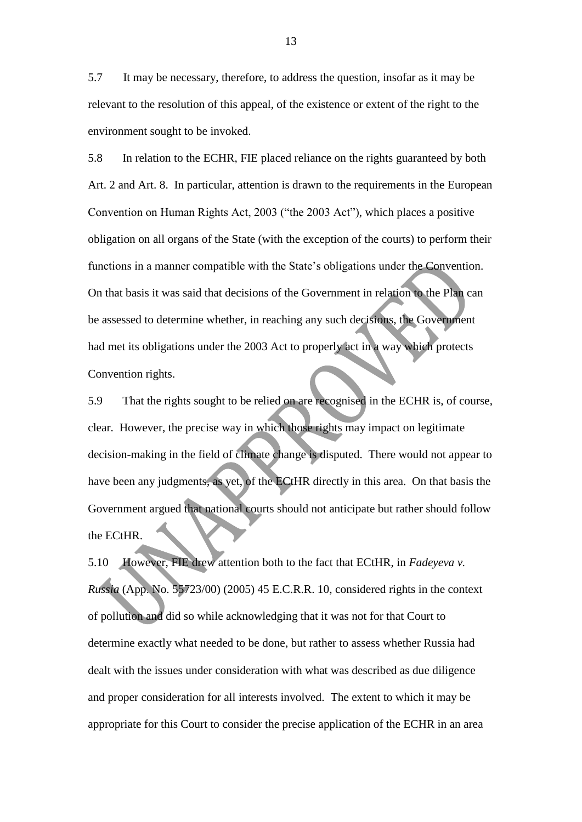5.7 It may be necessary, therefore, to address the question, insofar as it may be relevant to the resolution of this appeal, of the existence or extent of the right to the environment sought to be invoked.

5.8 In relation to the ECHR, FIE placed reliance on the rights guaranteed by both Art. 2 and Art. 8. In particular, attention is drawn to the requirements in the European Convention on Human Rights Act, 2003 ("the 2003 Act"), which places a positive obligation on all organs of the State (with the exception of the courts) to perform their functions in a manner compatible with the State's obligations under the Convention. On that basis it was said that decisions of the Government in relation to the Plan can be assessed to determine whether, in reaching any such decisions, the Government had met its obligations under the 2003 Act to properly act in a way which protects Convention rights.

5.9 That the rights sought to be relied on are recognised in the ECHR is, of course, clear. However, the precise way in which those rights may impact on legitimate decision-making in the field of climate change is disputed. There would not appear to have been any judgments, as yet, of the ECtHR directly in this area. On that basis the Government argued that national courts should not anticipate but rather should follow the ECtHR.

5.10 However, FIE drew attention both to the fact that ECtHR, in *Fadeyeva v. Russia* (App. No. 55723/00) (2005) 45 E.C.R.R. 10, considered rights in the context of pollution and did so while acknowledging that it was not for that Court to determine exactly what needed to be done, but rather to assess whether Russia had dealt with the issues under consideration with what was described as due diligence and proper consideration for all interests involved. The extent to which it may be appropriate for this Court to consider the precise application of the ECHR in an area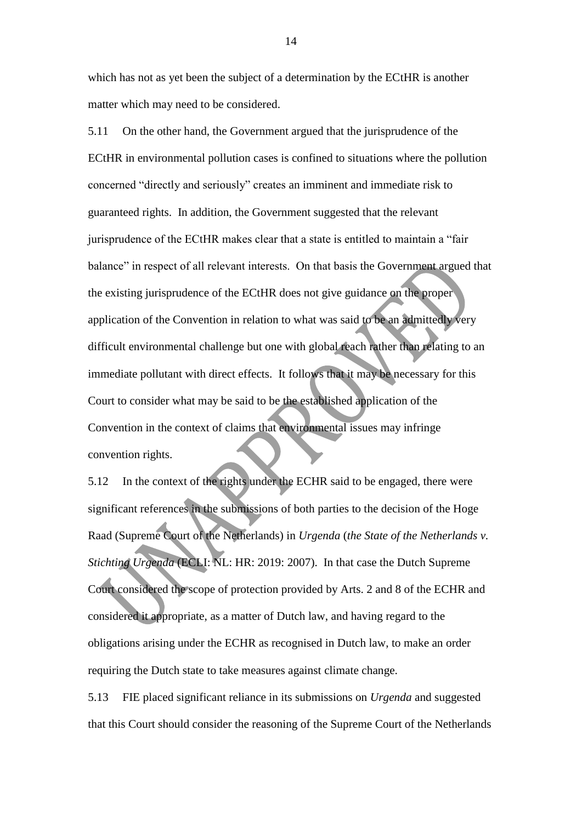which has not as yet been the subject of a determination by the ECtHR is another matter which may need to be considered.

5.11 On the other hand, the Government argued that the jurisprudence of the ECtHR in environmental pollution cases is confined to situations where the pollution concerned "directly and seriously" creates an imminent and immediate risk to guaranteed rights. In addition, the Government suggested that the relevant jurisprudence of the ECtHR makes clear that a state is entitled to maintain a "fair balance" in respect of all relevant interests. On that basis the Government argued that the existing jurisprudence of the ECtHR does not give guidance on the proper application of the Convention in relation to what was said to be an admittedly very difficult environmental challenge but one with global reach rather than relating to an immediate pollutant with direct effects. It follows that it may be necessary for this Court to consider what may be said to be the established application of the Convention in the context of claims that environmental issues may infringe convention rights.

5.12 In the context of the rights under the ECHR said to be engaged, there were significant references in the submissions of both parties to the decision of the Hoge Raad (Supreme Court of the Netherlands) in *Urgenda* (*the State of the Netherlands v. Stichting Urgenda* (ECLI: NL: HR: 2019: 2007). In that case the Dutch Supreme Court considered the scope of protection provided by Arts. 2 and 8 of the ECHR and considered it appropriate, as a matter of Dutch law, and having regard to the obligations arising under the ECHR as recognised in Dutch law, to make an order requiring the Dutch state to take measures against climate change.

5.13 FIE placed significant reliance in its submissions on *Urgenda* and suggested that this Court should consider the reasoning of the Supreme Court of the Netherlands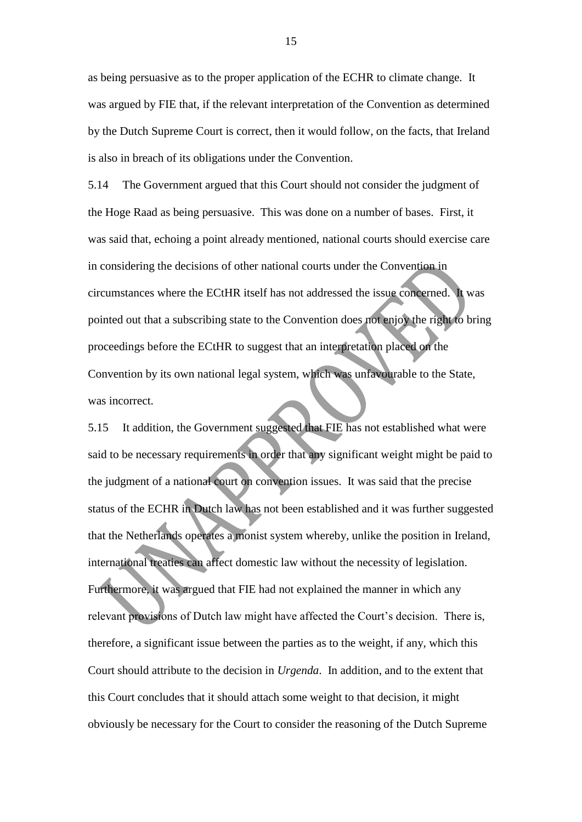as being persuasive as to the proper application of the ECHR to climate change. It was argued by FIE that, if the relevant interpretation of the Convention as determined by the Dutch Supreme Court is correct, then it would follow, on the facts, that Ireland is also in breach of its obligations under the Convention.

5.14 The Government argued that this Court should not consider the judgment of the Hoge Raad as being persuasive. This was done on a number of bases. First, it was said that, echoing a point already mentioned, national courts should exercise care in considering the decisions of other national courts under the Convention in circumstances where the ECtHR itself has not addressed the issue concerned. It was pointed out that a subscribing state to the Convention does not enjoy the right to bring proceedings before the ECtHR to suggest that an interpretation placed on the Convention by its own national legal system, which was unfavourable to the State, was incorrect.

5.15 It addition, the Government suggested that FIE has not established what were said to be necessary requirements in order that any significant weight might be paid to the judgment of a national court on convention issues. It was said that the precise status of the ECHR in Dutch law has not been established and it was further suggested that the Netherlands operates a monist system whereby, unlike the position in Ireland, international treaties can affect domestic law without the necessity of legislation. Furthermore, it was argued that FIE had not explained the manner in which any relevant provisions of Dutch law might have affected the Court's decision. There is, therefore, a significant issue between the parties as to the weight, if any, which this Court should attribute to the decision in *Urgenda*. In addition, and to the extent that this Court concludes that it should attach some weight to that decision, it might obviously be necessary for the Court to consider the reasoning of the Dutch Supreme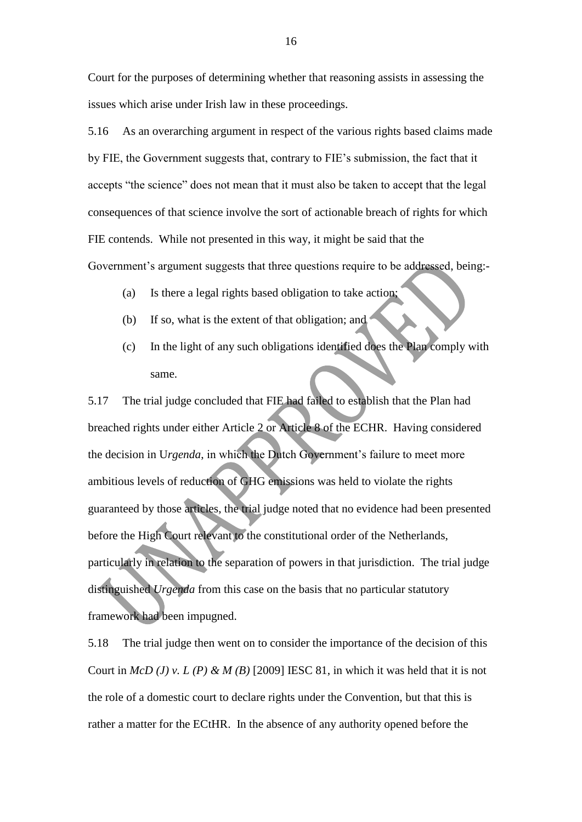Court for the purposes of determining whether that reasoning assists in assessing the issues which arise under Irish law in these proceedings.

5.16 As an overarching argument in respect of the various rights based claims made by FIE, the Government suggests that, contrary to FIE's submission, the fact that it accepts "the science" does not mean that it must also be taken to accept that the legal consequences of that science involve the sort of actionable breach of rights for which FIE contends. While not presented in this way, it might be said that the Government's argument suggests that three questions require to be addressed, being:-

- (a) Is there a legal rights based obligation to take action;
- (b) If so, what is the extent of that obligation; and
- (c) In the light of any such obligations identified does the Plan comply with same.

5.17 The trial judge concluded that FIE had failed to establish that the Plan had breached rights under either Article 2 or Article 8 of the ECHR. Having considered the decision in U*rgenda*, in which the Dutch Government's failure to meet more ambitious levels of reduction of GHG emissions was held to violate the rights guaranteed by those articles, the trial judge noted that no evidence had been presented before the High Court relevant to the constitutional order of the Netherlands, particularly in relation to the separation of powers in that jurisdiction. The trial judge distinguished *Urgenda* from this case on the basis that no particular statutory framework had been impugned.

5.18 The trial judge then went on to consider the importance of the decision of this Court in *McD* (*J*) v.  $L(P) \& M(B)$  [2009] IESC 81, in which it was held that it is not the role of a domestic court to declare rights under the Convention, but that this is rather a matter for the ECtHR. In the absence of any authority opened before the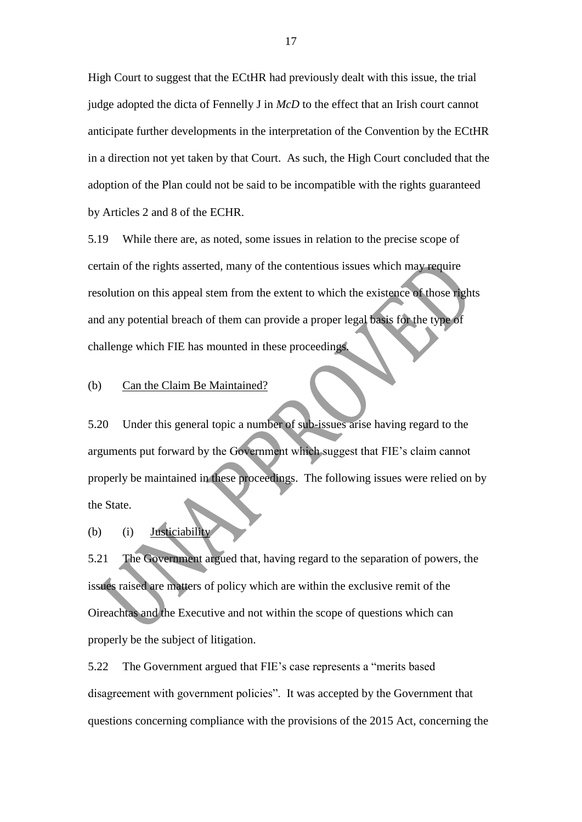High Court to suggest that the ECtHR had previously dealt with this issue, the trial judge adopted the dicta of Fennelly J in *McD* to the effect that an Irish court cannot anticipate further developments in the interpretation of the Convention by the ECtHR in a direction not yet taken by that Court. As such, the High Court concluded that the adoption of the Plan could not be said to be incompatible with the rights guaranteed by Articles 2 and 8 of the ECHR.

5.19 While there are, as noted, some issues in relation to the precise scope of certain of the rights asserted, many of the contentious issues which may require resolution on this appeal stem from the extent to which the existence of those rights and any potential breach of them can provide a proper legal basis for the type of challenge which FIE has mounted in these proceedings.

#### (b) Can the Claim Be Maintained?

5.20 Under this general topic a number of sub-issues arise having regard to the arguments put forward by the Government which suggest that FIE's claim cannot properly be maintained in these proceedings. The following issues were relied on by the State.

(b) (i) Justiciability

5.21 The Government argued that, having regard to the separation of powers, the issues raised are matters of policy which are within the exclusive remit of the Oireachtas and the Executive and not within the scope of questions which can properly be the subject of litigation.

5.22 The Government argued that FIE's case represents a "merits based disagreement with government policies". It was accepted by the Government that questions concerning compliance with the provisions of the 2015 Act, concerning the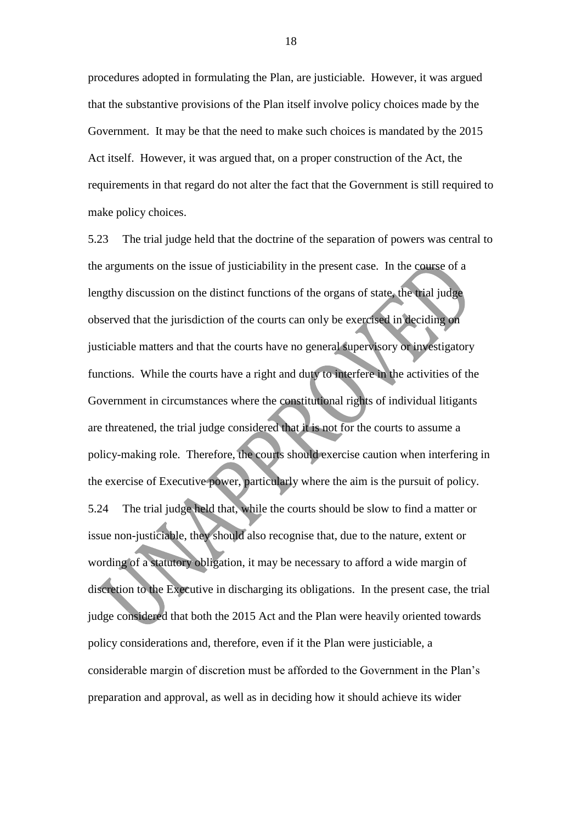procedures adopted in formulating the Plan, are justiciable. However, it was argued that the substantive provisions of the Plan itself involve policy choices made by the Government. It may be that the need to make such choices is mandated by the 2015 Act itself. However, it was argued that, on a proper construction of the Act, the requirements in that regard do not alter the fact that the Government is still required to make policy choices.

5.23 The trial judge held that the doctrine of the separation of powers was central to the arguments on the issue of justiciability in the present case. In the course of a lengthy discussion on the distinct functions of the organs of state, the trial judge observed that the jurisdiction of the courts can only be exercised in deciding on justiciable matters and that the courts have no general supervisory or investigatory functions. While the courts have a right and duty to interfere in the activities of the Government in circumstances where the constitutional rights of individual litigants are threatened, the trial judge considered that it is not for the courts to assume a policy-making role. Therefore, the courts should exercise caution when interfering in the exercise of Executive power, particularly where the aim is the pursuit of policy. 5.24 The trial judge held that, while the courts should be slow to find a matter or issue non-justiciable, they should also recognise that, due to the nature, extent or wording of a statutory obligation, it may be necessary to afford a wide margin of discretion to the Executive in discharging its obligations. In the present case, the trial judge considered that both the 2015 Act and the Plan were heavily oriented towards policy considerations and, therefore, even if it the Plan were justiciable, a considerable margin of discretion must be afforded to the Government in the Plan's preparation and approval, as well as in deciding how it should achieve its wider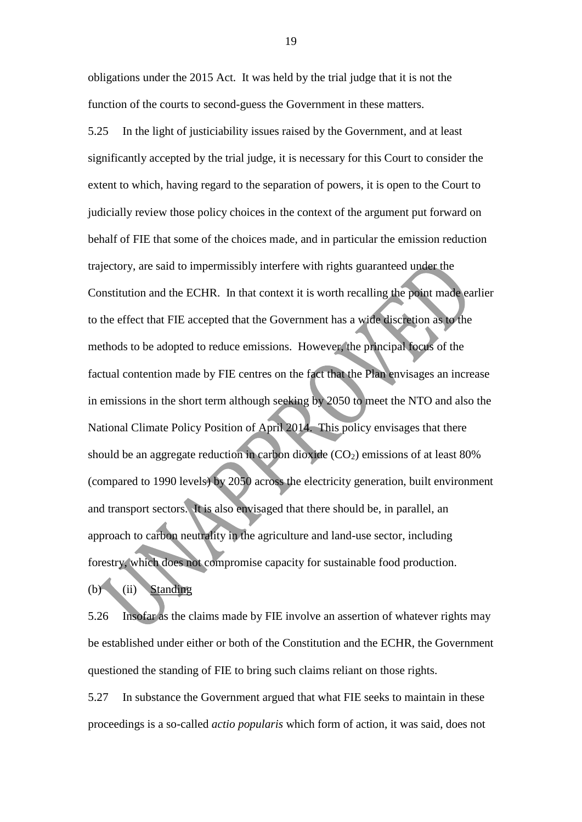obligations under the 2015 Act. It was held by the trial judge that it is not the function of the courts to second-guess the Government in these matters.

5.25 In the light of justiciability issues raised by the Government, and at least significantly accepted by the trial judge, it is necessary for this Court to consider the extent to which, having regard to the separation of powers, it is open to the Court to judicially review those policy choices in the context of the argument put forward on behalf of FIE that some of the choices made, and in particular the emission reduction trajectory, are said to impermissibly interfere with rights guaranteed under the Constitution and the ECHR. In that context it is worth recalling the point made earlier to the effect that FIE accepted that the Government has a wide discretion as to the methods to be adopted to reduce emissions. However, the principal focus of the factual contention made by FIE centres on the fact that the Plan envisages an increase in emissions in the short term although seeking by 2050 to meet the NTO and also the National Climate Policy Position of April 2014. This policy envisages that there should be an aggregate reduction in carbon dioxide  $(CO<sub>2</sub>)$  emissions of at least 80% (compared to 1990 levels) by 2050 across the electricity generation, built environment and transport sectors. It is also envisaged that there should be, in parallel, an approach to carbon neutrality in the agriculture and land-use sector, including forestry, which does not compromise capacity for sustainable food production.

(b) (ii) Standing

5.26 Insofar as the claims made by FIE involve an assertion of whatever rights may be established under either or both of the Constitution and the ECHR, the Government questioned the standing of FIE to bring such claims reliant on those rights.

5.27 In substance the Government argued that what FIE seeks to maintain in these proceedings is a so-called *actio popularis* which form of action, it was said, does not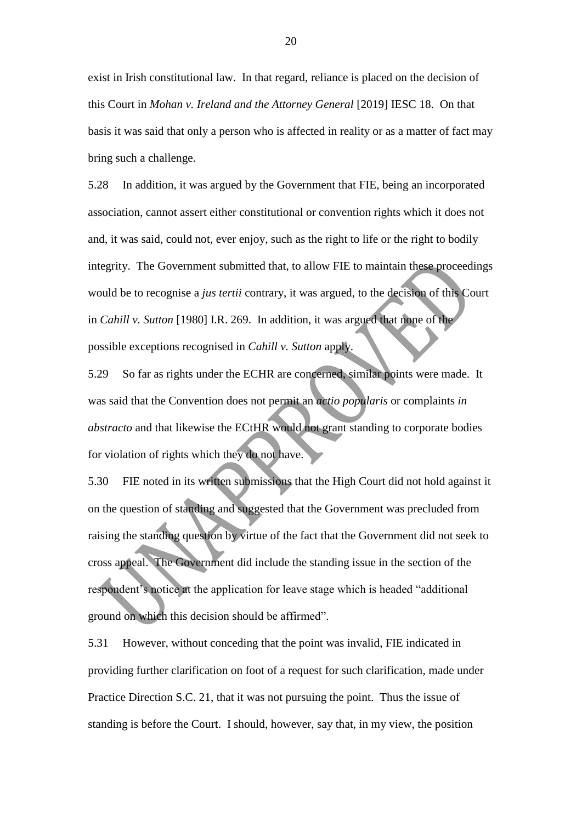exist in Irish constitutional law. In that regard, reliance is placed on the decision of this Court in *Mohan v. Ireland and the Attorney General* [2019] IESC 18. On that basis it was said that only a person who is affected in reality or as a matter of fact may bring such a challenge.

5.28 In addition, it was argued by the Government that FIE, being an incorporated association, cannot assert either constitutional or convention rights which it does not and, it was said, could not, ever enjoy, such as the right to life or the right to bodily integrity. The Government submitted that, to allow FIE to maintain these proceedings would be to recognise a *jus tertii* contrary, it was argued, to the decision of this Court in *Cahill v. Sutton* [1980] I.R. 269. In addition, it was argued that none of the possible exceptions recognised in *Cahill v. Sutton* apply.

5.29 So far as rights under the ECHR are concerned, similar points were made. It was said that the Convention does not permit an *actio popularis* or complaints *in abstracto* and that likewise the ECtHR would not grant standing to corporate bodies for violation of rights which they do not have.

5.30 FIE noted in its written submissions that the High Court did not hold against it on the question of standing and suggested that the Government was precluded from raising the standing question by virtue of the fact that the Government did not seek to cross appeal. The Government did include the standing issue in the section of the respondent's notice at the application for leave stage which is headed "additional ground on which this decision should be affirmed".

5.31 However, without conceding that the point was invalid, FIE indicated in providing further clarification on foot of a request for such clarification, made under Practice Direction S.C. 21, that it was not pursuing the point. Thus the issue of standing is before the Court. I should, however, say that, in my view, the position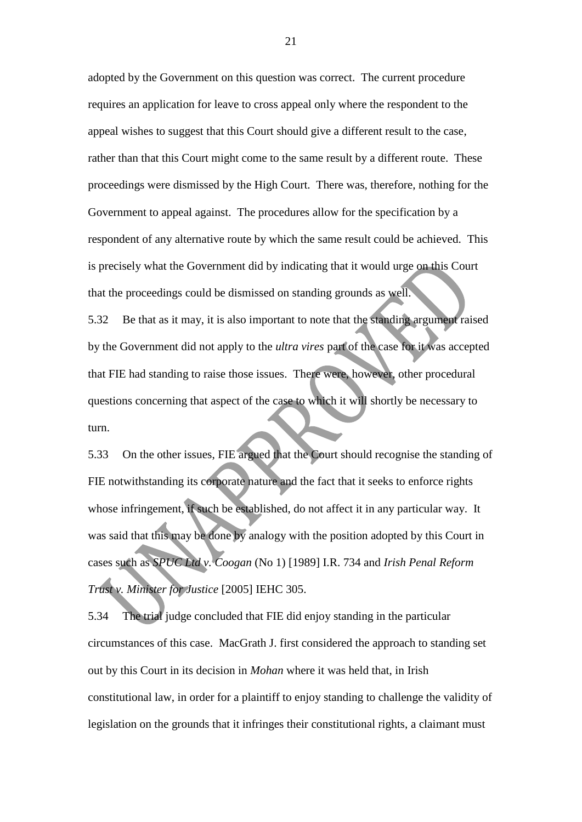adopted by the Government on this question was correct. The current procedure requires an application for leave to cross appeal only where the respondent to the appeal wishes to suggest that this Court should give a different result to the case, rather than that this Court might come to the same result by a different route. These proceedings were dismissed by the High Court. There was, therefore, nothing for the Government to appeal against. The procedures allow for the specification by a respondent of any alternative route by which the same result could be achieved. This is precisely what the Government did by indicating that it would urge on this Court that the proceedings could be dismissed on standing grounds as well.

5.32 Be that as it may, it is also important to note that the standing argument raised by the Government did not apply to the *ultra vires* part of the case for it was accepted that FIE had standing to raise those issues. There were, however, other procedural questions concerning that aspect of the case to which it will shortly be necessary to turn.

5.33 On the other issues, FIE argued that the Court should recognise the standing of FIE notwithstanding its corporate nature and the fact that it seeks to enforce rights whose infringement, if such be established, do not affect it in any particular way. It was said that this may be done by analogy with the position adopted by this Court in cases such as *SPUC Ltd v. Coogan* (No 1) [1989] I.R. 734 and *Irish Penal Reform Trust v. Minister for Justice* [2005] IEHC 305.

5.34 The trial judge concluded that FIE did enjoy standing in the particular circumstances of this case. MacGrath J. first considered the approach to standing set out by this Court in its decision in *Mohan* where it was held that, in Irish constitutional law, in order for a plaintiff to enjoy standing to challenge the validity of legislation on the grounds that it infringes their constitutional rights, a claimant must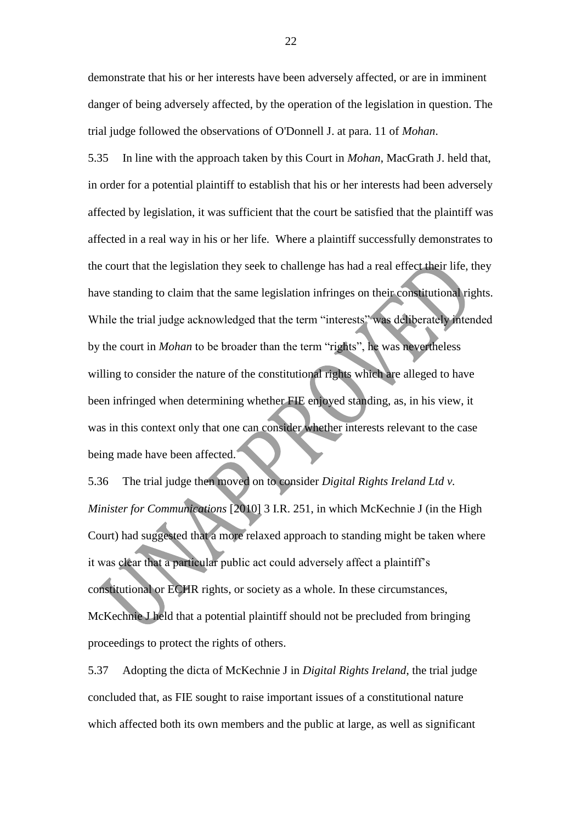demonstrate that his or her interests have been adversely affected, or are in imminent danger of being adversely affected, by the operation of the legislation in question. The trial judge followed the observations of O'Donnell J. at para. 11 of *Mohan*.

5.35 In line with the approach taken by this Court in *Mohan*, MacGrath J. held that, in order for a potential plaintiff to establish that his or her interests had been adversely affected by legislation, it was sufficient that the court be satisfied that the plaintiff was affected in a real way in his or her life. Where a plaintiff successfully demonstrates to the court that the legislation they seek to challenge has had a real effect their life, they have standing to claim that the same legislation infringes on their constitutional rights. While the trial judge acknowledged that the term "interests" was deliberately intended by the court in *Mohan* to be broader than the term "rights", he was nevertheless willing to consider the nature of the constitutional rights which are alleged to have been infringed when determining whether FIE enjoyed standing, as, in his view, it was in this context only that one can consider whether interests relevant to the case being made have been affected.

5.36 The trial judge then moved on to consider *Digital Rights Ireland Ltd v. Minister for Communications* [2010] 3 I.R. 251, in which McKechnie J (in the High Court) had suggested that a more relaxed approach to standing might be taken where it was clear that a particular public act could adversely affect a plaintiff's constitutional or ECHR rights, or society as a whole. In these circumstances, McKechnie J held that a potential plaintiff should not be precluded from bringing proceedings to protect the rights of others.

5.37 Adopting the dicta of McKechnie J in *Digital Rights Ireland*, the trial judge concluded that, as FIE sought to raise important issues of a constitutional nature which affected both its own members and the public at large, as well as significant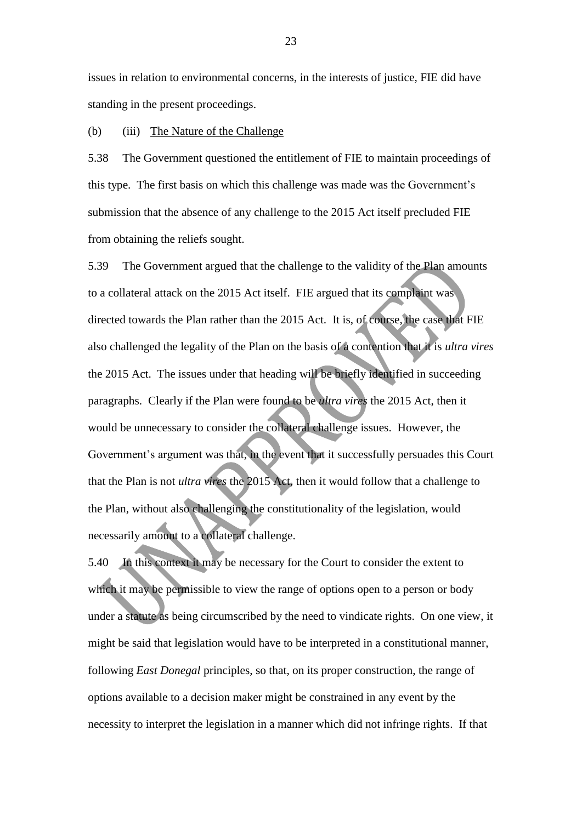issues in relation to environmental concerns, in the interests of justice, FIE did have standing in the present proceedings.

(b) (iii) The Nature of the Challenge

5.38 The Government questioned the entitlement of FIE to maintain proceedings of this type. The first basis on which this challenge was made was the Government's submission that the absence of any challenge to the 2015 Act itself precluded FIE from obtaining the reliefs sought.

5.39 The Government argued that the challenge to the validity of the Plan amounts to a collateral attack on the 2015 Act itself. FIE argued that its complaint was directed towards the Plan rather than the 2015 Act. It is, of course, the case that FIE also challenged the legality of the Plan on the basis of a contention that it is *ultra vires* the 2015 Act. The issues under that heading will be briefly identified in succeeding paragraphs. Clearly if the Plan were found to be *ultra vires* the 2015 Act, then it would be unnecessary to consider the collateral challenge issues. However, the Government's argument was that, in the event that it successfully persuades this Court that the Plan is not *ultra vires* the 2015 Act, then it would follow that a challenge to the Plan, without also challenging the constitutionality of the legislation, would necessarily amount to a collateral challenge.

5.40 In this context it may be necessary for the Court to consider the extent to which it may be permissible to view the range of options open to a person or body under a statute as being circumscribed by the need to vindicate rights. On one view, it might be said that legislation would have to be interpreted in a constitutional manner, following *East Donegal* principles, so that, on its proper construction, the range of options available to a decision maker might be constrained in any event by the necessity to interpret the legislation in a manner which did not infringe rights. If that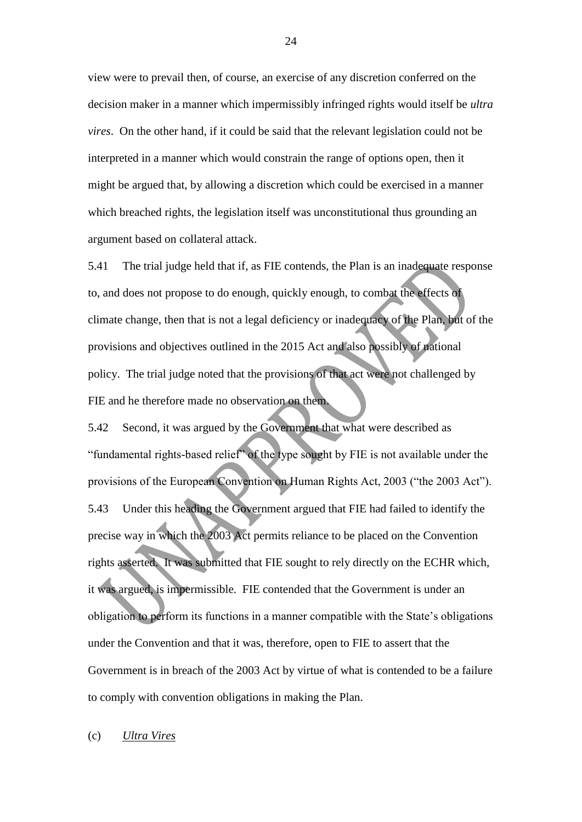view were to prevail then, of course, an exercise of any discretion conferred on the decision maker in a manner which impermissibly infringed rights would itself be *ultra vires*. On the other hand, if it could be said that the relevant legislation could not be interpreted in a manner which would constrain the range of options open, then it might be argued that, by allowing a discretion which could be exercised in a manner which breached rights, the legislation itself was unconstitutional thus grounding an argument based on collateral attack.

5.41 The trial judge held that if, as FIE contends, the Plan is an inadequate response to, and does not propose to do enough, quickly enough, to combat the effects of climate change, then that is not a legal deficiency or inadequacy of the Plan, but of the provisions and objectives outlined in the 2015 Act and also possibly of national policy. The trial judge noted that the provisions of that act were not challenged by FIE and he therefore made no observation on them.

5.42 Second, it was argued by the Government that what were described as "fundamental rights-based relief" of the type sought by FIE is not available under the provisions of the European Convention on Human Rights Act, 2003 ("the 2003 Act"). 5.43 Under this heading the Government argued that FIE had failed to identify the precise way in which the 2003 Act permits reliance to be placed on the Convention rights asserted. It was submitted that FIE sought to rely directly on the ECHR which, it was argued, is impermissible. FIE contended that the Government is under an obligation to perform its functions in a manner compatible with the State's obligations under the Convention and that it was, therefore, open to FIE to assert that the Government is in breach of the 2003 Act by virtue of what is contended to be a failure to comply with convention obligations in making the Plan.

(c) *Ultra Vires*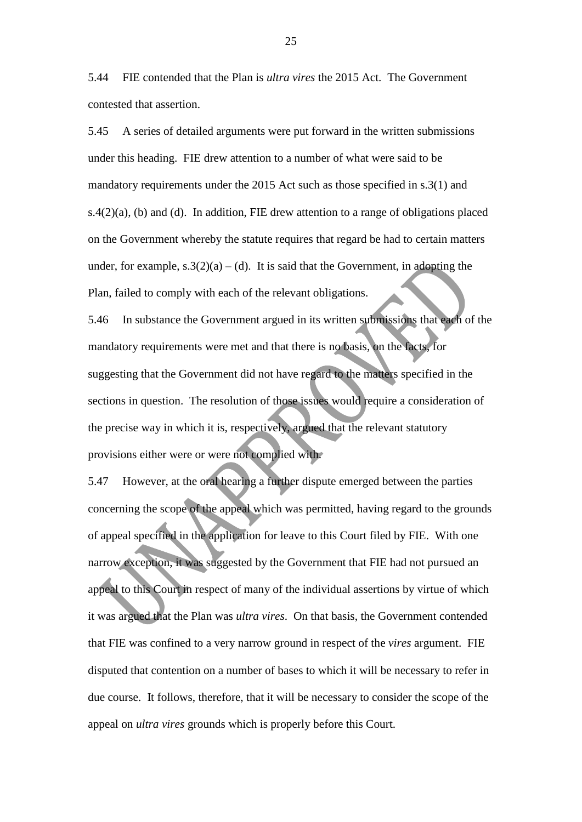5.44 FIE contended that the Plan is *ultra vires* the 2015 Act. The Government contested that assertion.

5.45 A series of detailed arguments were put forward in the written submissions under this heading. FIE drew attention to a number of what were said to be mandatory requirements under the 2015 Act such as those specified in s.3(1) and  $s.4(2)(a)$ , (b) and (d). In addition, FIE drew attention to a range of obligations placed on the Government whereby the statute requires that regard be had to certain matters under, for example,  $s.3(2)(a) - (d)$ . It is said that the Government, in adopting the Plan, failed to comply with each of the relevant obligations.

5.46 In substance the Government argued in its written submissions that each of the mandatory requirements were met and that there is no basis, on the facts, for suggesting that the Government did not have regard to the matters specified in the sections in question. The resolution of those issues would require a consideration of the precise way in which it is, respectively, argued that the relevant statutory provisions either were or were not complied with.

5.47 However, at the oral hearing a further dispute emerged between the parties concerning the scope of the appeal which was permitted, having regard to the grounds of appeal specified in the application for leave to this Court filed by FIE. With one narrow exception, it was suggested by the Government that FIE had not pursued an appeal to this Court in respect of many of the individual assertions by virtue of which it was argued that the Plan was *ultra vires*. On that basis, the Government contended that FIE was confined to a very narrow ground in respect of the *vires* argument. FIE disputed that contention on a number of bases to which it will be necessary to refer in due course. It follows, therefore, that it will be necessary to consider the scope of the appeal on *ultra vires* grounds which is properly before this Court.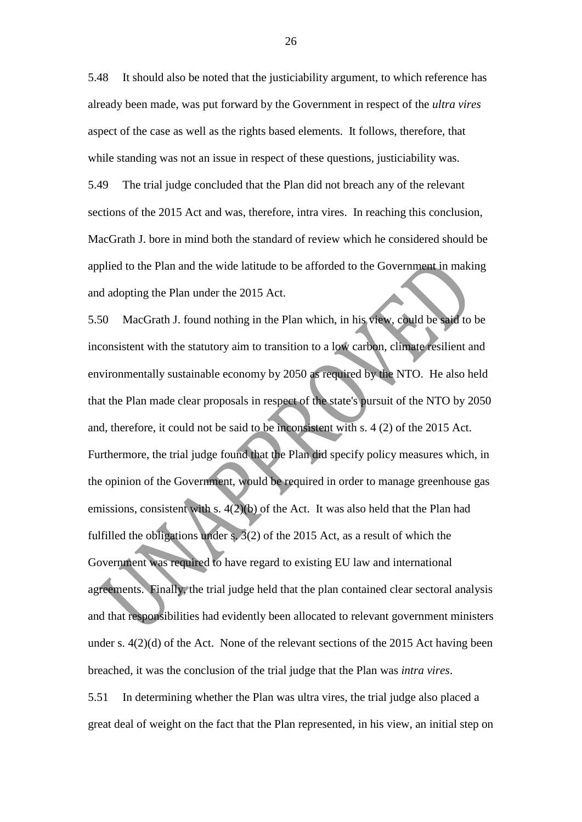5.48 It should also be noted that the justiciability argument, to which reference has already been made, was put forward by the Government in respect of the *ultra vires* aspect of the case as well as the rights based elements. It follows, therefore, that while standing was not an issue in respect of these questions, justiciability was. 5.49 The trial judge concluded that the Plan did not breach any of the relevant sections of the 2015 Act and was, therefore, intra vires. In reaching this conclusion, MacGrath J. bore in mind both the standard of review which he considered should be applied to the Plan and the wide latitude to be afforded to the Government in making and adopting the Plan under the 2015 Act.

5.50 MacGrath J. found nothing in the Plan which, in his view, could be said to be inconsistent with the statutory aim to transition to a low carbon, climate resilient and environmentally sustainable economy by 2050 as required by the NTO. He also held that the Plan made clear proposals in respect of the state's pursuit of the NTO by 2050 and, therefore, it could not be said to be inconsistent with s. 4 (2) of the 2015 Act. Furthermore, the trial judge found that the Plan did specify policy measures which, in the opinion of the Government, would be required in order to manage greenhouse gas emissions, consistent with s.  $4(2)(b)$  of the Act. It was also held that the Plan had fulfilled the obligations under s. 3(2) of the 2015 Act, as a result of which the Government was required to have regard to existing EU law and international agreements. Finally, the trial judge held that the plan contained clear sectoral analysis and that responsibilities had evidently been allocated to relevant government ministers under s.  $4(2)(d)$  of the Act. None of the relevant sections of the 2015 Act having been breached, it was the conclusion of the trial judge that the Plan was *intra vires*.

5.51 In determining whether the Plan was ultra vires, the trial judge also placed a great deal of weight on the fact that the Plan represented, in his view, an initial step on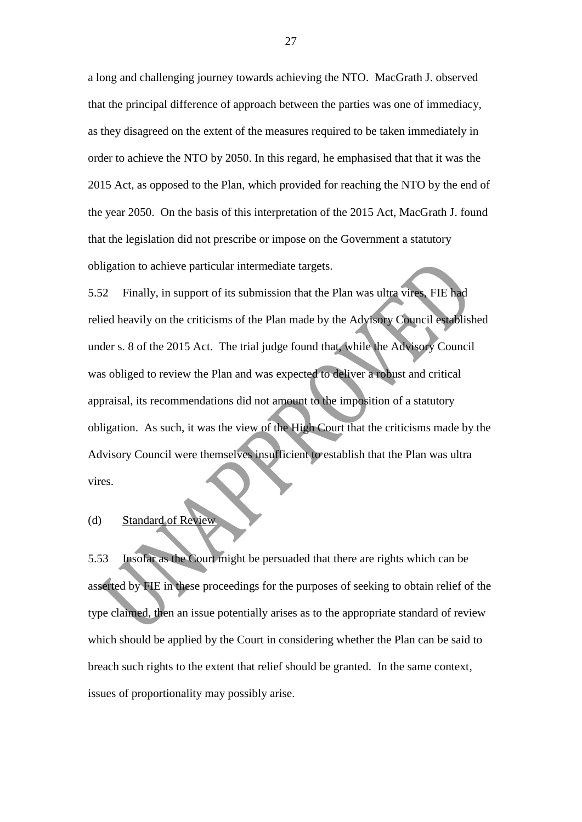a long and challenging journey towards achieving the NTO. MacGrath J. observed that the principal difference of approach between the parties was one of immediacy, as they disagreed on the extent of the measures required to be taken immediately in order to achieve the NTO by 2050. In this regard, he emphasised that that it was the 2015 Act, as opposed to the Plan, which provided for reaching the NTO by the end of the year 2050. On the basis of this interpretation of the 2015 Act, MacGrath J. found that the legislation did not prescribe or impose on the Government a statutory obligation to achieve particular intermediate targets.

5.52 Finally, in support of its submission that the Plan was ultra vires, FIE had relied heavily on the criticisms of the Plan made by the Advisory Council established under s. 8 of the 2015 Act. The trial judge found that, while the Advisory Council was obliged to review the Plan and was expected to deliver a robust and critical appraisal, its recommendations did not amount to the imposition of a statutory obligation. As such, it was the view of the High Court that the criticisms made by the Advisory Council were themselves insufficient to establish that the Plan was ultra vires.

### (d) Standard of Review

5.53 Insofar as the Court might be persuaded that there are rights which can be asserted by FIE in these proceedings for the purposes of seeking to obtain relief of the type claimed, then an issue potentially arises as to the appropriate standard of review which should be applied by the Court in considering whether the Plan can be said to breach such rights to the extent that relief should be granted. In the same context, issues of proportionality may possibly arise.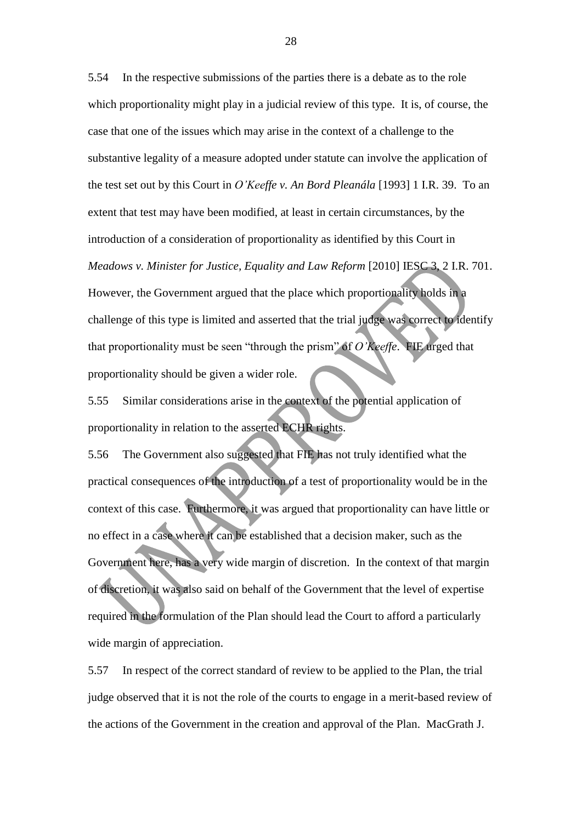5.54 In the respective submissions of the parties there is a debate as to the role which proportionality might play in a judicial review of this type. It is, of course, the case that one of the issues which may arise in the context of a challenge to the substantive legality of a measure adopted under statute can involve the application of the test set out by this Court in *O'Keeffe v. An Bord Pleanála* [1993] 1 I.R. 39. To an extent that test may have been modified, at least in certain circumstances, by the introduction of a consideration of proportionality as identified by this Court in *Meadows v. Minister for Justice, Equality and Law Reform* [2010] IESC 3, 2 I.R. 701.

However, the Government argued that the place which proportionality holds in a challenge of this type is limited and asserted that the trial judge was correct to identify that proportionality must be seen "through the prism" of *O'Keeffe*. FIE urged that proportionality should be given a wider role.

5.55 Similar considerations arise in the context of the potential application of proportionality in relation to the asserted ECHR rights.

5.56 The Government also suggested that FIE has not truly identified what the practical consequences of the introduction of a test of proportionality would be in the context of this case. Furthermore, it was argued that proportionality can have little or no effect in a case where it can be established that a decision maker, such as the Government here, has a very wide margin of discretion. In the context of that margin of discretion, it was also said on behalf of the Government that the level of expertise required in the formulation of the Plan should lead the Court to afford a particularly wide margin of appreciation.

5.57 In respect of the correct standard of review to be applied to the Plan, the trial judge observed that it is not the role of the courts to engage in a merit-based review of the actions of the Government in the creation and approval of the Plan. MacGrath J.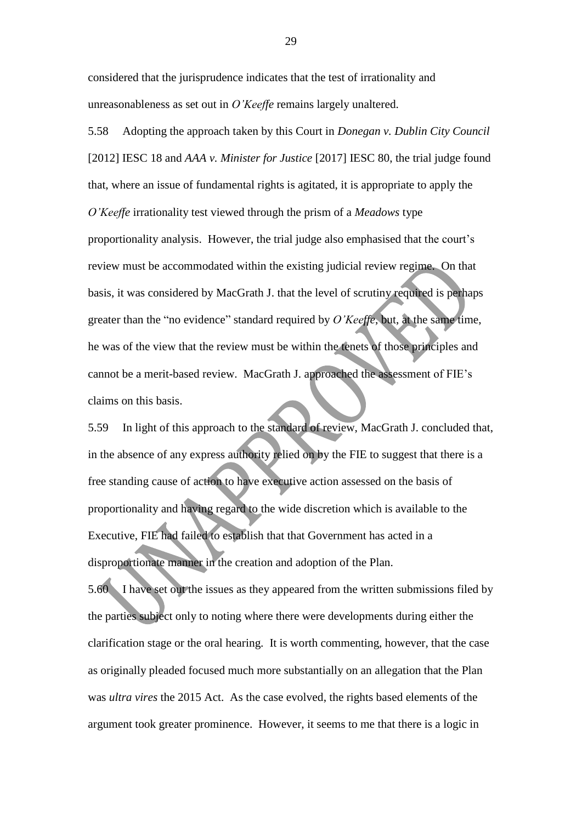considered that the jurisprudence indicates that the test of irrationality and unreasonableness as set out in *O'Keeffe* remains largely unaltered.

5.58 Adopting the approach taken by this Court in *Donegan v. Dublin City Council*  [2012] IESC 18 and *AAA v. Minister for Justice* [2017] IESC 80, the trial judge found that, where an issue of fundamental rights is agitated, it is appropriate to apply the *O'Keeffe* irrationality test viewed through the prism of a *Meadows* type proportionality analysis. However, the trial judge also emphasised that the court's review must be accommodated within the existing judicial review regime. On that basis, it was considered by MacGrath J. that the level of scrutiny required is perhaps greater than the "no evidence" standard required by *O'Keeffe*, but, at the same time, he was of the view that the review must be within the tenets of those principles and cannot be a merit-based review. MacGrath J. approached the assessment of FIE's claims on this basis.

5.59 In light of this approach to the standard of review, MacGrath J. concluded that, in the absence of any express authority relied on by the FIE to suggest that there is a free standing cause of action to have executive action assessed on the basis of proportionality and having regard to the wide discretion which is available to the Executive, FIE had failed to establish that that Government has acted in a disproportionate manner in the creation and adoption of the Plan.

5.60 I have set out the issues as they appeared from the written submissions filed by the parties subject only to noting where there were developments during either the clarification stage or the oral hearing. It is worth commenting, however, that the case as originally pleaded focused much more substantially on an allegation that the Plan was *ultra vires* the 2015 Act. As the case evolved, the rights based elements of the argument took greater prominence. However, it seems to me that there is a logic in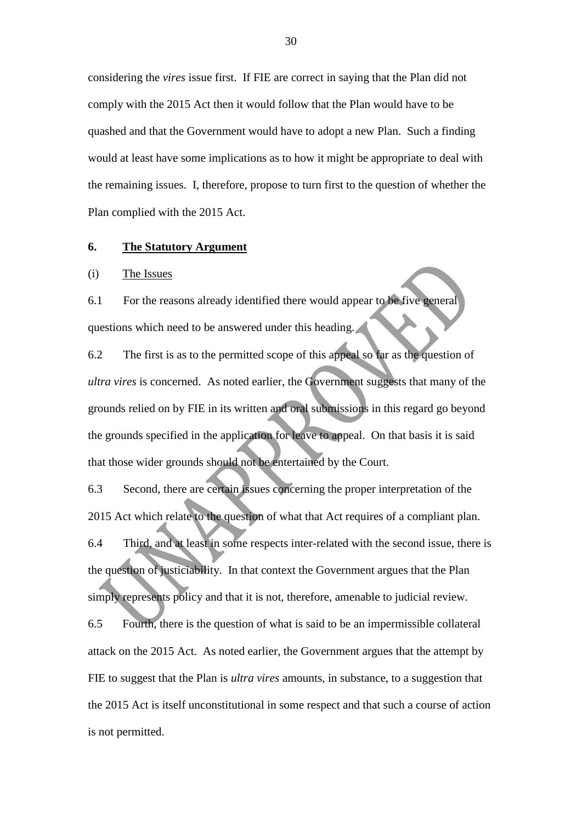considering the *vires* issue first. If FIE are correct in saying that the Plan did not comply with the 2015 Act then it would follow that the Plan would have to be quashed and that the Government would have to adopt a new Plan. Such a finding would at least have some implications as to how it might be appropriate to deal with the remaining issues. I, therefore, propose to turn first to the question of whether the Plan complied with the 2015 Act.

#### **6. The Statutory Argument**

(i) The Issues

6.1 For the reasons already identified there would appear to be five general questions which need to be answered under this heading.

6.2 The first is as to the permitted scope of this appeal so far as the question of *ultra vires* is concerned. As noted earlier, the Government suggests that many of the grounds relied on by FIE in its written and oral submissions in this regard go beyond the grounds specified in the application for leave to appeal. On that basis it is said that those wider grounds should not be entertained by the Court.

6.3 Second, there are certain issues concerning the proper interpretation of the 2015 Act which relate to the question of what that Act requires of a compliant plan. 6.4 Third, and at least in some respects inter-related with the second issue, there is the question of justiciability. In that context the Government argues that the Plan simply represents policy and that it is not, therefore, amenable to judicial review.

6.5 Fourth, there is the question of what is said to be an impermissible collateral attack on the 2015 Act. As noted earlier, the Government argues that the attempt by FIE to suggest that the Plan is *ultra vires* amounts, in substance, to a suggestion that the 2015 Act is itself unconstitutional in some respect and that such a course of action is not permitted.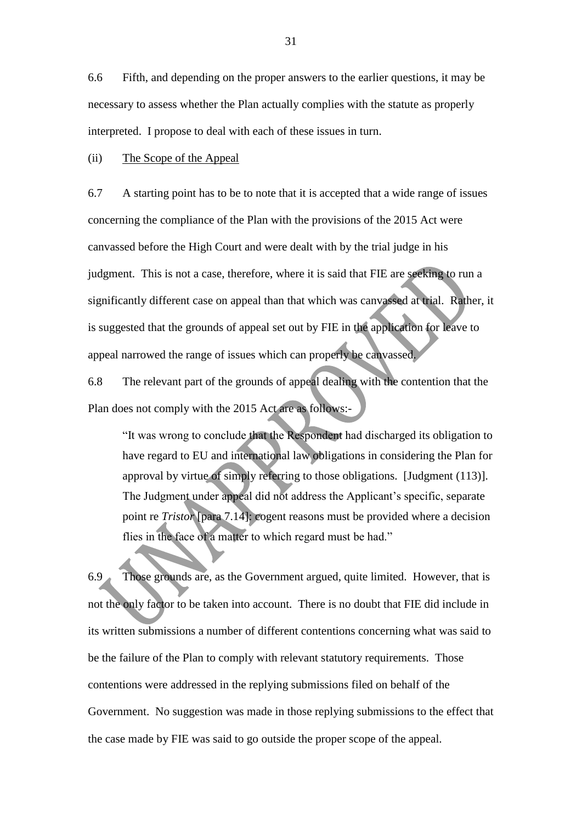6.6 Fifth, and depending on the proper answers to the earlier questions, it may be necessary to assess whether the Plan actually complies with the statute as properly interpreted. I propose to deal with each of these issues in turn.

#### (ii) The Scope of the Appeal

6.7 A starting point has to be to note that it is accepted that a wide range of issues concerning the compliance of the Plan with the provisions of the 2015 Act were canvassed before the High Court and were dealt with by the trial judge in his judgment. This is not a case, therefore, where it is said that FIE are seeking to run a significantly different case on appeal than that which was canvassed at trial. Rather, it is suggested that the grounds of appeal set out by FIE in the application for leave to appeal narrowed the range of issues which can properly be canvassed.

6.8 The relevant part of the grounds of appeal dealing with the contention that the Plan does not comply with the 2015 Act are as follows:-

"It was wrong to conclude that the Respondent had discharged its obligation to have regard to EU and international law obligations in considering the Plan for approval by virtue of simply referring to those obligations. [Judgment (113)]. The Judgment under appeal did not address the Applicant's specific, separate point re *Tristor* [para 7.14]: cogent reasons must be provided where a decision flies in the face of a matter to which regard must be had."

6.9 Those grounds are, as the Government argued, quite limited. However, that is not the only factor to be taken into account. There is no doubt that FIE did include in its written submissions a number of different contentions concerning what was said to be the failure of the Plan to comply with relevant statutory requirements. Those contentions were addressed in the replying submissions filed on behalf of the Government. No suggestion was made in those replying submissions to the effect that the case made by FIE was said to go outside the proper scope of the appeal.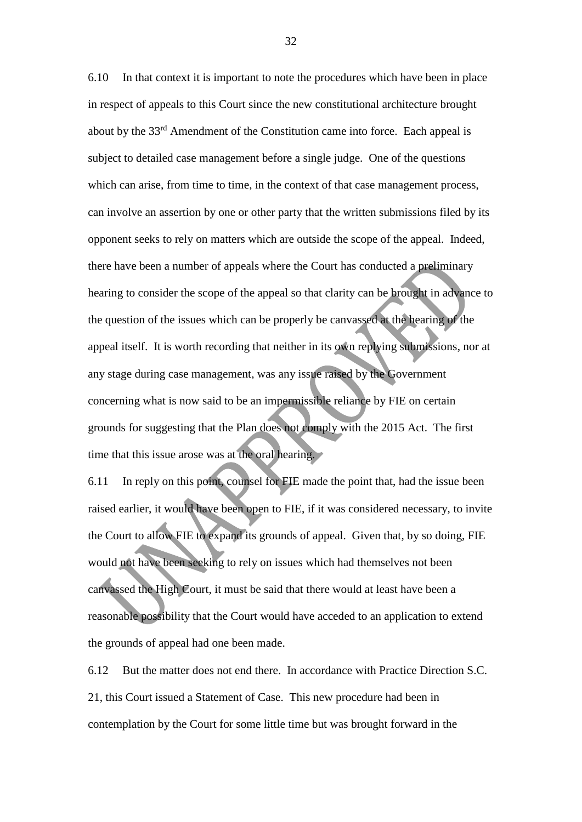6.10 In that context it is important to note the procedures which have been in place in respect of appeals to this Court since the new constitutional architecture brought about by the 33rd Amendment of the Constitution came into force. Each appeal is subject to detailed case management before a single judge. One of the questions which can arise, from time to time, in the context of that case management process, can involve an assertion by one or other party that the written submissions filed by its opponent seeks to rely on matters which are outside the scope of the appeal. Indeed, there have been a number of appeals where the Court has conducted a preliminary hearing to consider the scope of the appeal so that clarity can be brought in advance to the question of the issues which can be properly be canvassed at the hearing of the appeal itself. It is worth recording that neither in its own replying submissions, nor at any stage during case management, was any issue raised by the Government concerning what is now said to be an impermissible reliance by FIE on certain grounds for suggesting that the Plan does not comply with the 2015 Act. The first time that this issue arose was at the oral hearing.

6.11 In reply on this point, counsel for FIE made the point that, had the issue been raised earlier, it would have been open to FIE, if it was considered necessary, to invite the Court to allow FIE to expand its grounds of appeal. Given that, by so doing, FIE would not have been seeking to rely on issues which had themselves not been canvassed the High Court, it must be said that there would at least have been a reasonable possibility that the Court would have acceded to an application to extend the grounds of appeal had one been made.

6.12 But the matter does not end there. In accordance with Practice Direction S.C. 21, this Court issued a Statement of Case. This new procedure had been in contemplation by the Court for some little time but was brought forward in the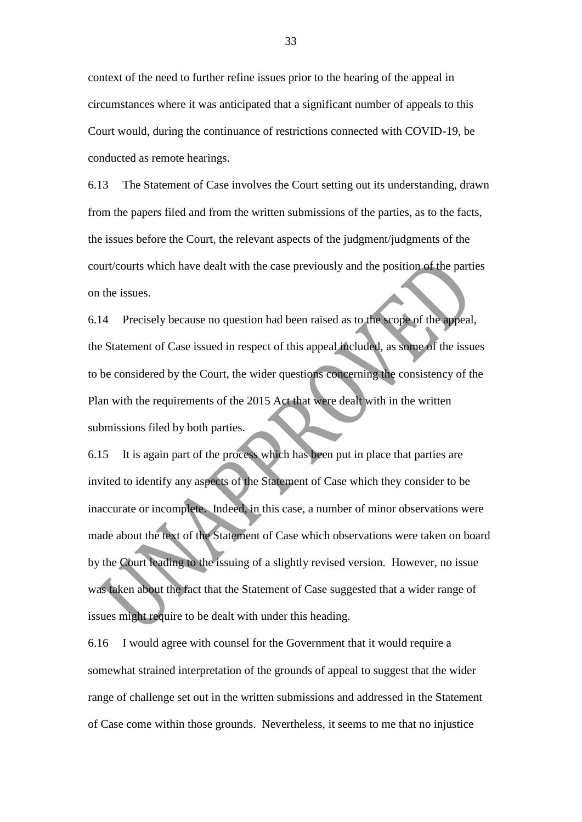context of the need to further refine issues prior to the hearing of the appeal in circumstances where it was anticipated that a significant number of appeals to this Court would, during the continuance of restrictions connected with COVID-19, be conducted as remote hearings.

6.13 The Statement of Case involves the Court setting out its understanding, drawn from the papers filed and from the written submissions of the parties, as to the facts, the issues before the Court, the relevant aspects of the judgment/judgments of the court/courts which have dealt with the case previously and the position of the parties on the issues.

6.14 Precisely because no question had been raised as to the scope of the appeal, the Statement of Case issued in respect of this appeal included, as some of the issues to be considered by the Court, the wider questions concerning the consistency of the Plan with the requirements of the 2015 Act that were dealt with in the written submissions filed by both parties.

6.15 It is again part of the process which has been put in place that parties are invited to identify any aspects of the Statement of Case which they consider to be inaccurate or incomplete. Indeed, in this case, a number of minor observations were made about the text of the Statement of Case which observations were taken on board by the Court leading to the issuing of a slightly revised version. However, no issue was taken about the fact that the Statement of Case suggested that a wider range of issues might require to be dealt with under this heading.

6.16 I would agree with counsel for the Government that it would require a somewhat strained interpretation of the grounds of appeal to suggest that the wider range of challenge set out in the written submissions and addressed in the Statement of Case come within those grounds. Nevertheless, it seems to me that no injustice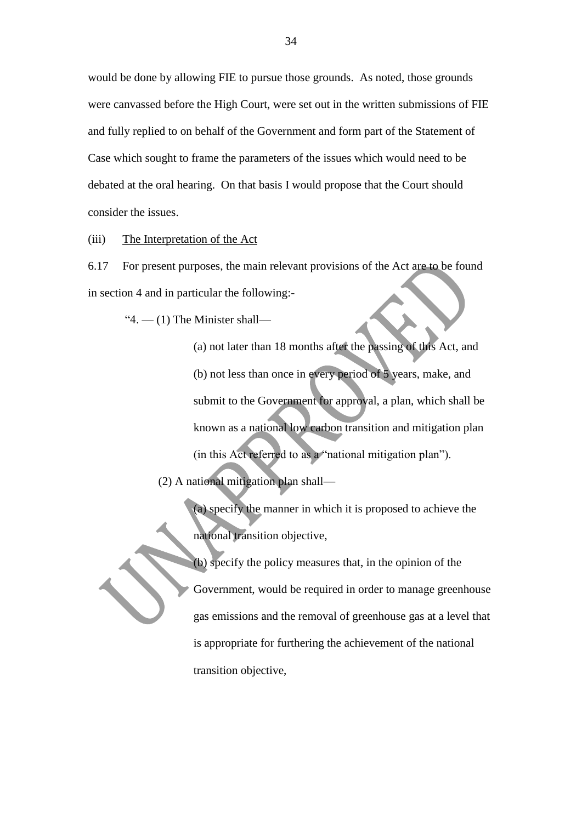would be done by allowing FIE to pursue those grounds. As noted, those grounds were canvassed before the High Court, were set out in the written submissions of FIE and fully replied to on behalf of the Government and form part of the Statement of Case which sought to frame the parameters of the issues which would need to be debated at the oral hearing. On that basis I would propose that the Court should consider the issues.

(iii) The Interpretation of the Act

6.17 For present purposes, the main relevant provisions of the Act are to be found in section 4 and in particular the following:-

 $4. - (1)$  The Minister shall-

(a) not later than 18 months after the passing of this Act, and (b) not less than once in every period of 5 years, make, and submit to the Government for approval, a plan, which shall be known as a national low carbon transition and mitigation plan (in this Act referred to as a "national mitigation plan").

(2) A national mitigation plan shall—

(a) specify the manner in which it is proposed to achieve the national transition objective,

(b) specify the policy measures that, in the opinion of the Government, would be required in order to manage greenhouse gas emissions and the removal of greenhouse gas at a level that is appropriate for furthering the achievement of the national transition objective,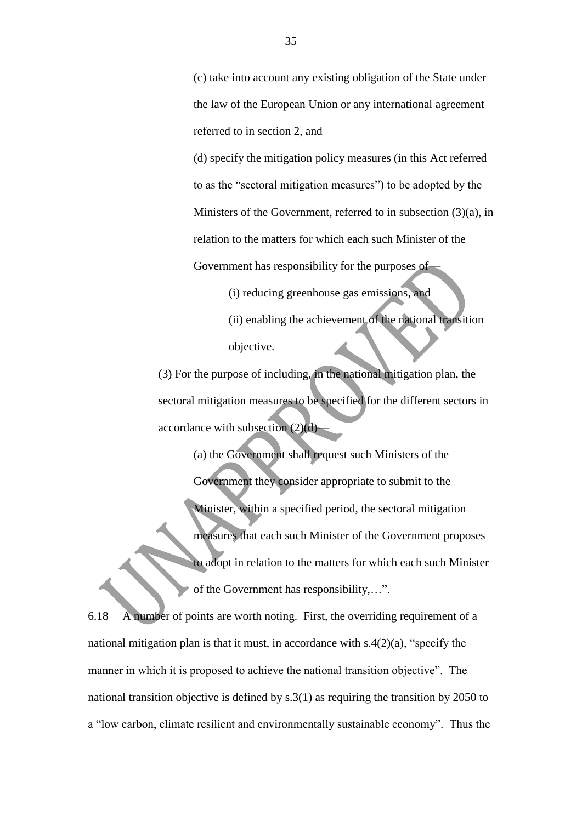(c) take into account any existing obligation of the State under the law of the European Union or any international agreement referred to in section 2, and

(d) specify the mitigation policy measures (in this Act referred to as the "sectoral mitigation measures") to be adopted by the Ministers of the Government, referred to in subsection (3)(a), in relation to the matters for which each such Minister of the Government has responsibility for the purposes of—

(i) reducing greenhouse gas emissions, and

(ii) enabling the achievement of the national transition objective.

(3) For the purpose of including, in the national mitigation plan, the sectoral mitigation measures to be specified for the different sectors in accordance with subsection (2)(d)—

(a) the Government shall request such Ministers of the Government they consider appropriate to submit to the Minister, within a specified period, the sectoral mitigation measures that each such Minister of the Government proposes to adopt in relation to the matters for which each such Minister of the Government has responsibility,…".

6.18 A number of points are worth noting. First, the overriding requirement of a national mitigation plan is that it must, in accordance with  $s.4(2)(a)$ , "specify the manner in which it is proposed to achieve the national transition objective". The national transition objective is defined by s.3(1) as requiring the transition by 2050 to a "low carbon, climate resilient and environmentally sustainable economy". Thus the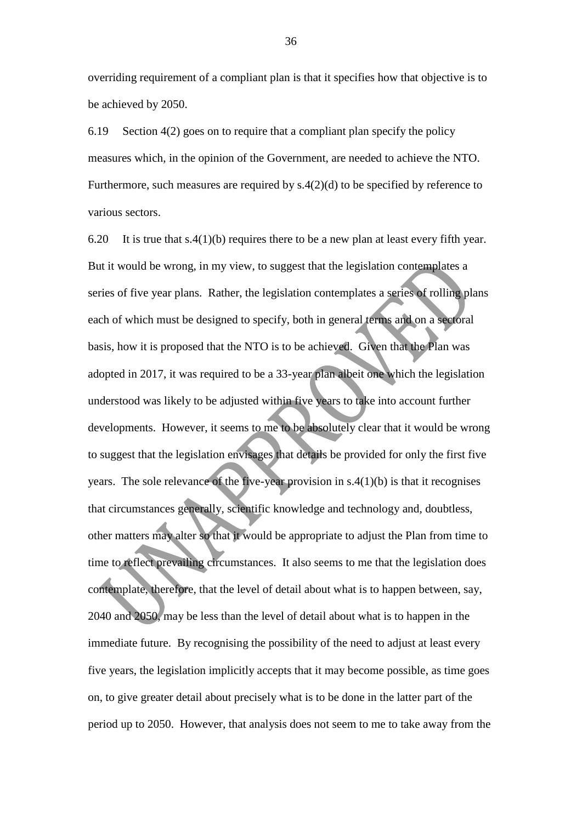overriding requirement of a compliant plan is that it specifies how that objective is to be achieved by 2050.

6.19 Section 4(2) goes on to require that a compliant plan specify the policy measures which, in the opinion of the Government, are needed to achieve the NTO. Furthermore, such measures are required by s.4(2)(d) to be specified by reference to various sectors.

6.20 It is true that  $s.4(1)(b)$  requires there to be a new plan at least every fifth year. But it would be wrong, in my view, to suggest that the legislation contemplates a series of five year plans. Rather, the legislation contemplates a series of rolling plans each of which must be designed to specify, both in general terms and on a sectoral basis, how it is proposed that the NTO is to be achieved. Given that the Plan was adopted in 2017, it was required to be a 33-year plan albeit one which the legislation understood was likely to be adjusted within five years to take into account further developments. However, it seems to me to be absolutely clear that it would be wrong to suggest that the legislation envisages that details be provided for only the first five years. The sole relevance of the five-year provision in s.4(1)(b) is that it recognises that circumstances generally, scientific knowledge and technology and, doubtless, other matters may alter so that it would be appropriate to adjust the Plan from time to time to reflect prevailing circumstances. It also seems to me that the legislation does contemplate, therefore, that the level of detail about what is to happen between, say, 2040 and 2050, may be less than the level of detail about what is to happen in the immediate future. By recognising the possibility of the need to adjust at least every five years, the legislation implicitly accepts that it may become possible, as time goes on, to give greater detail about precisely what is to be done in the latter part of the period up to 2050. However, that analysis does not seem to me to take away from the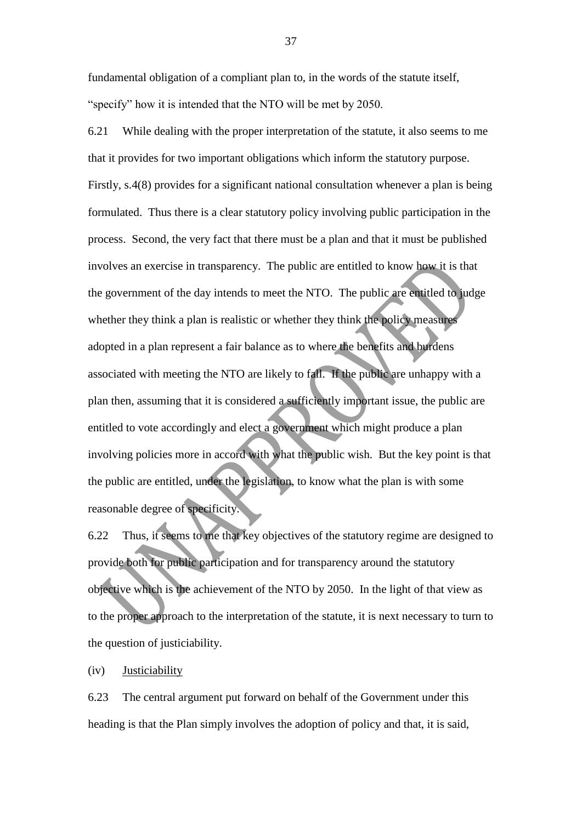fundamental obligation of a compliant plan to, in the words of the statute itself, "specify" how it is intended that the NTO will be met by 2050.

6.21 While dealing with the proper interpretation of the statute, it also seems to me that it provides for two important obligations which inform the statutory purpose. Firstly, s.4(8) provides for a significant national consultation whenever a plan is being formulated. Thus there is a clear statutory policy involving public participation in the process. Second, the very fact that there must be a plan and that it must be published involves an exercise in transparency. The public are entitled to know how it is that the government of the day intends to meet the NTO. The public are entitled to judge whether they think a plan is realistic or whether they think the policy measures adopted in a plan represent a fair balance as to where the benefits and burdens associated with meeting the NTO are likely to fall. If the public are unhappy with a plan then, assuming that it is considered a sufficiently important issue, the public are entitled to vote accordingly and elect a government which might produce a plan involving policies more in accord with what the public wish. But the key point is that the public are entitled, under the legislation, to know what the plan is with some reasonable degree of specificity.

6.22 Thus, it seems to me that key objectives of the statutory regime are designed to provide both for public participation and for transparency around the statutory objective which is the achievement of the NTO by 2050. In the light of that view as to the proper approach to the interpretation of the statute, it is next necessary to turn to the question of justiciability.

(iv) Justiciability

6.23 The central argument put forward on behalf of the Government under this heading is that the Plan simply involves the adoption of policy and that, it is said,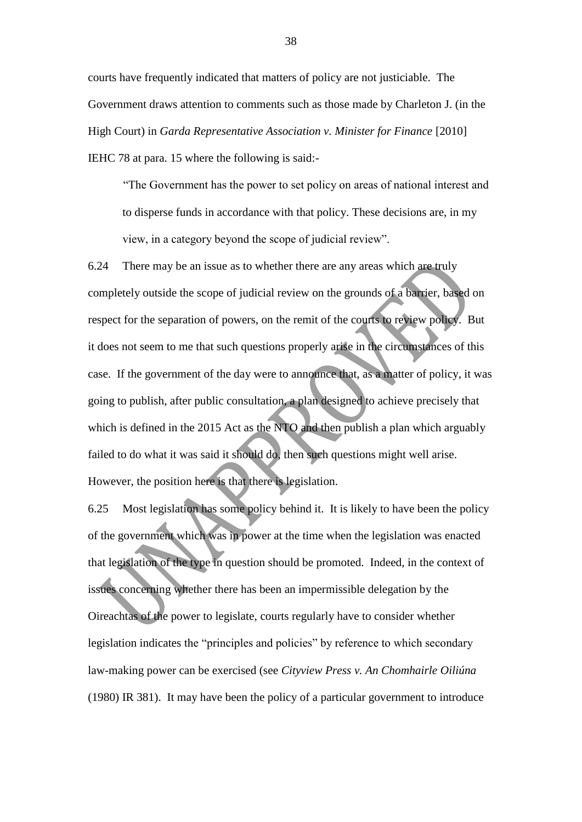courts have frequently indicated that matters of policy are not justiciable. The Government draws attention to comments such as those made by Charleton J. (in the High Court) in *Garda Representative Association v. Minister for Finance* [2010] IEHC 78 at para. 15 where the following is said:-

"The Government has the power to set policy on areas of national interest and to disperse funds in accordance with that policy. These decisions are, in my view, in a category beyond the scope of judicial review".

6.24 There may be an issue as to whether there are any areas which are truly completely outside the scope of judicial review on the grounds of a barrier, based on respect for the separation of powers, on the remit of the courts to review policy. But it does not seem to me that such questions properly arise in the circumstances of this case. If the government of the day were to announce that, as a matter of policy, it was going to publish, after public consultation, a plan designed to achieve precisely that which is defined in the 2015 Act as the NTO and then publish a plan which arguably failed to do what it was said it should do, then such questions might well arise. However, the position here is that there is legislation.

6.25 Most legislation has some policy behind it. It is likely to have been the policy of the government which was in power at the time when the legislation was enacted that legislation of the type in question should be promoted. Indeed, in the context of issues concerning whether there has been an impermissible delegation by the Oireachtas of the power to legislate, courts regularly have to consider whether legislation indicates the "principles and policies" by reference to which secondary law-making power can be exercised (see *Cityview Press v. An Chomhairle Oiliúna* (1980) IR 381). It may have been the policy of a particular government to introduce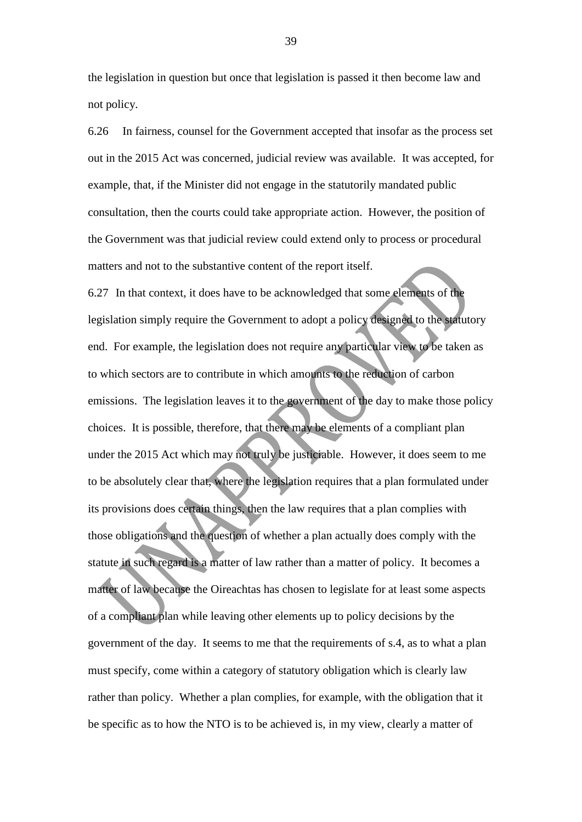the legislation in question but once that legislation is passed it then become law and not policy.

6.26 In fairness, counsel for the Government accepted that insofar as the process set out in the 2015 Act was concerned, judicial review was available. It was accepted, for example, that, if the Minister did not engage in the statutorily mandated public consultation, then the courts could take appropriate action. However, the position of the Government was that judicial review could extend only to process or procedural matters and not to the substantive content of the report itself.

6.27 In that context, it does have to be acknowledged that some elements of the legislation simply require the Government to adopt a policy designed to the statutory end. For example, the legislation does not require any particular view to be taken as to which sectors are to contribute in which amounts to the reduction of carbon emissions. The legislation leaves it to the government of the day to make those policy choices. It is possible, therefore, that there may be elements of a compliant plan under the 2015 Act which may not truly be justiciable. However, it does seem to me to be absolutely clear that, where the legislation requires that a plan formulated under its provisions does certain things, then the law requires that a plan complies with those obligations and the question of whether a plan actually does comply with the statute in such regard is a matter of law rather than a matter of policy. It becomes a matter of law because the Oireachtas has chosen to legislate for at least some aspects of a compliant plan while leaving other elements up to policy decisions by the government of the day. It seems to me that the requirements of s.4, as to what a plan must specify, come within a category of statutory obligation which is clearly law rather than policy. Whether a plan complies, for example, with the obligation that it be specific as to how the NTO is to be achieved is, in my view, clearly a matter of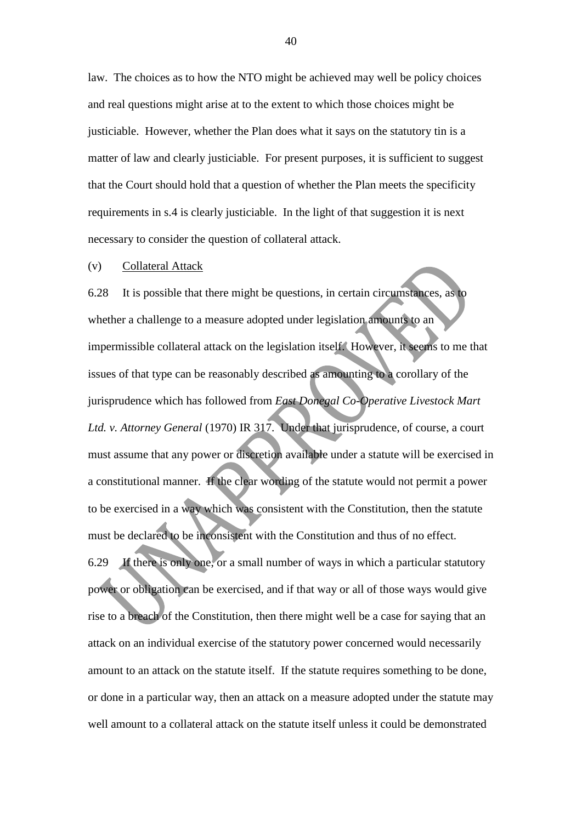law. The choices as to how the NTO might be achieved may well be policy choices and real questions might arise at to the extent to which those choices might be justiciable. However, whether the Plan does what it says on the statutory tin is a matter of law and clearly justiciable. For present purposes, it is sufficient to suggest that the Court should hold that a question of whether the Plan meets the specificity requirements in s.4 is clearly justiciable. In the light of that suggestion it is next necessary to consider the question of collateral attack.

## (v) Collateral Attack

6.28 It is possible that there might be questions, in certain circumstances, as to whether a challenge to a measure adopted under legislation amounts to an impermissible collateral attack on the legislation itself. However, it seems to me that issues of that type can be reasonably described as amounting to a corollary of the jurisprudence which has followed from *East Donegal Co-Operative Livestock Mart Ltd. v. Attorney General* (1970) IR 317. Under that jurisprudence, of course, a court must assume that any power or discretion available under a statute will be exercised in a constitutional manner. If the clear wording of the statute would not permit a power to be exercised in a way which was consistent with the Constitution, then the statute must be declared to be inconsistent with the Constitution and thus of no effect.

6.29 If there is only one, or a small number of ways in which a particular statutory power or obligation can be exercised, and if that way or all of those ways would give rise to a breach of the Constitution, then there might well be a case for saying that an attack on an individual exercise of the statutory power concerned would necessarily amount to an attack on the statute itself. If the statute requires something to be done, or done in a particular way, then an attack on a measure adopted under the statute may well amount to a collateral attack on the statute itself unless it could be demonstrated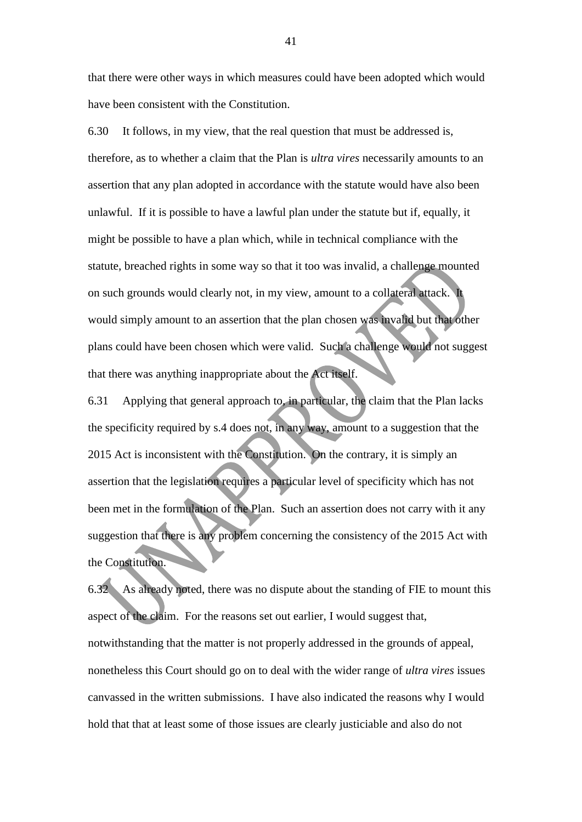that there were other ways in which measures could have been adopted which would have been consistent with the Constitution.

6.30 It follows, in my view, that the real question that must be addressed is, therefore, as to whether a claim that the Plan is *ultra vires* necessarily amounts to an assertion that any plan adopted in accordance with the statute would have also been unlawful. If it is possible to have a lawful plan under the statute but if, equally, it might be possible to have a plan which, while in technical compliance with the statute, breached rights in some way so that it too was invalid, a challenge mounted on such grounds would clearly not, in my view, amount to a collateral attack. It would simply amount to an assertion that the plan chosen was invalid but that other plans could have been chosen which were valid. Such a challenge would not suggest that there was anything inappropriate about the Act itself.

6.31 Applying that general approach to, in particular, the claim that the Plan lacks the specificity required by s.4 does not, in any way, amount to a suggestion that the 2015 Act is inconsistent with the Constitution. On the contrary, it is simply an assertion that the legislation requires a particular level of specificity which has not been met in the formulation of the Plan. Such an assertion does not carry with it any suggestion that there is any problem concerning the consistency of the 2015 Act with the Constitution.

6.32 As already noted, there was no dispute about the standing of FIE to mount this aspect of the claim. For the reasons set out earlier, I would suggest that, notwithstanding that the matter is not properly addressed in the grounds of appeal, nonetheless this Court should go on to deal with the wider range of *ultra vires* issues canvassed in the written submissions. I have also indicated the reasons why I would hold that that at least some of those issues are clearly justiciable and also do not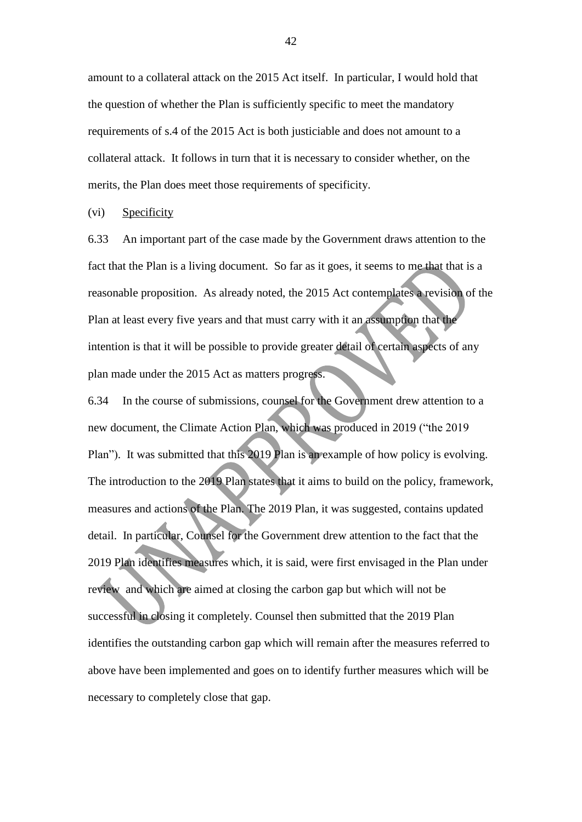amount to a collateral attack on the 2015 Act itself. In particular, I would hold that the question of whether the Plan is sufficiently specific to meet the mandatory requirements of s.4 of the 2015 Act is both justiciable and does not amount to a collateral attack. It follows in turn that it is necessary to consider whether, on the merits, the Plan does meet those requirements of specificity.

(vi) Specificity

6.33 An important part of the case made by the Government draws attention to the fact that the Plan is a living document. So far as it goes, it seems to me that that is a reasonable proposition. As already noted, the 2015 Act contemplates a revision of the Plan at least every five years and that must carry with it an assumption that the intention is that it will be possible to provide greater detail of certain aspects of any plan made under the 2015 Act as matters progress.

6.34 In the course of submissions, counsel for the Government drew attention to a new document, the Climate Action Plan, which was produced in 2019 ("the 2019 Plan"). It was submitted that this 2019 Plan is an example of how policy is evolving. The introduction to the 2019 Plan states that it aims to build on the policy, framework, measures and actions of the Plan. The 2019 Plan, it was suggested, contains updated detail. In particular, Counsel for the Government drew attention to the fact that the 2019 Plan identifies measures which, it is said, were first envisaged in the Plan under review and which are aimed at closing the carbon gap but which will not be successful in closing it completely. Counsel then submitted that the 2019 Plan identifies the outstanding carbon gap which will remain after the measures referred to above have been implemented and goes on to identify further measures which will be necessary to completely close that gap.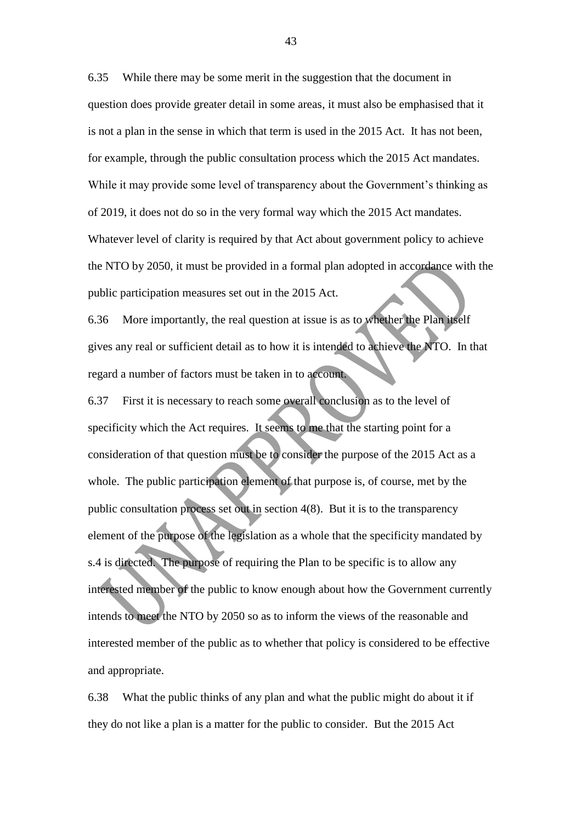6.35 While there may be some merit in the suggestion that the document in question does provide greater detail in some areas, it must also be emphasised that it is not a plan in the sense in which that term is used in the 2015 Act. It has not been, for example, through the public consultation process which the 2015 Act mandates. While it may provide some level of transparency about the Government's thinking as of 2019, it does not do so in the very formal way which the 2015 Act mandates. Whatever level of clarity is required by that Act about government policy to achieve the NTO by 2050, it must be provided in a formal plan adopted in accordance with the public participation measures set out in the 2015 Act.

6.36 More importantly, the real question at issue is as to whether the Plan itself gives any real or sufficient detail as to how it is intended to achieve the NTO. In that regard a number of factors must be taken in to account.

6.37 First it is necessary to reach some overall conclusion as to the level of specificity which the Act requires. It seems to me that the starting point for a consideration of that question must be to consider the purpose of the 2015 Act as a whole. The public participation element of that purpose is, of course, met by the public consultation process set out in section 4(8). But it is to the transparency element of the purpose of the legislation as a whole that the specificity mandated by s.4 is directed. The purpose of requiring the Plan to be specific is to allow any interested member of the public to know enough about how the Government currently intends to meet the NTO by 2050 so as to inform the views of the reasonable and interested member of the public as to whether that policy is considered to be effective and appropriate.

6.38 What the public thinks of any plan and what the public might do about it if they do not like a plan is a matter for the public to consider. But the 2015 Act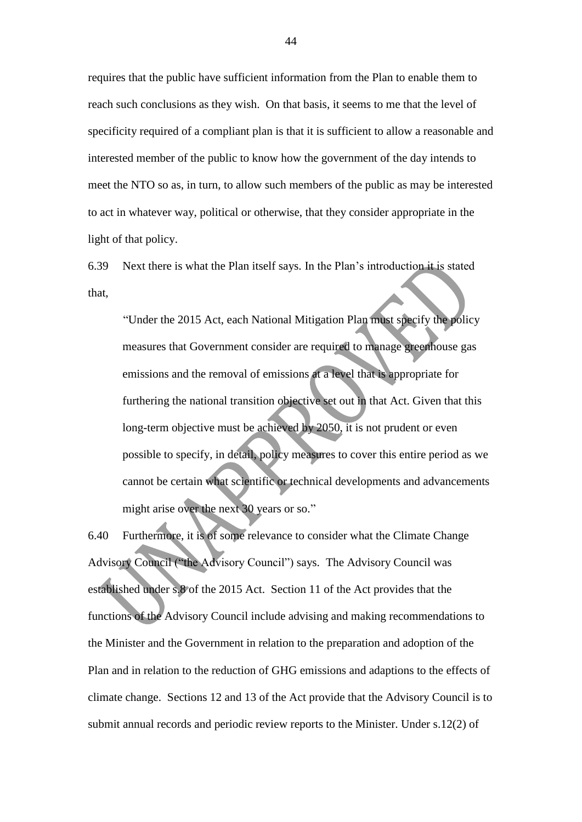requires that the public have sufficient information from the Plan to enable them to reach such conclusions as they wish. On that basis, it seems to me that the level of specificity required of a compliant plan is that it is sufficient to allow a reasonable and interested member of the public to know how the government of the day intends to meet the NTO so as, in turn, to allow such members of the public as may be interested to act in whatever way, political or otherwise, that they consider appropriate in the light of that policy.

6.39 Next there is what the Plan itself says. In the Plan's introduction it is stated that,

"Under the 2015 Act, each National Mitigation Plan must specify the policy measures that Government consider are required to manage greenhouse gas emissions and the removal of emissions at a level that is appropriate for furthering the national transition objective set out in that Act. Given that this long-term objective must be achieved by 2050, it is not prudent or even possible to specify, in detail, policy measures to cover this entire period as we cannot be certain what scientific or technical developments and advancements might arise over the next 30 years or so."

6.40 Furthermore, it is of some relevance to consider what the Climate Change Advisory Council ("the Advisory Council") says. The Advisory Council was established under s.8 of the 2015 Act. Section 11 of the Act provides that the functions of the Advisory Council include advising and making recommendations to the Minister and the Government in relation to the preparation and adoption of the Plan and in relation to the reduction of GHG emissions and adaptions to the effects of climate change. Sections 12 and 13 of the Act provide that the Advisory Council is to submit annual records and periodic review reports to the Minister. Under s.12(2) of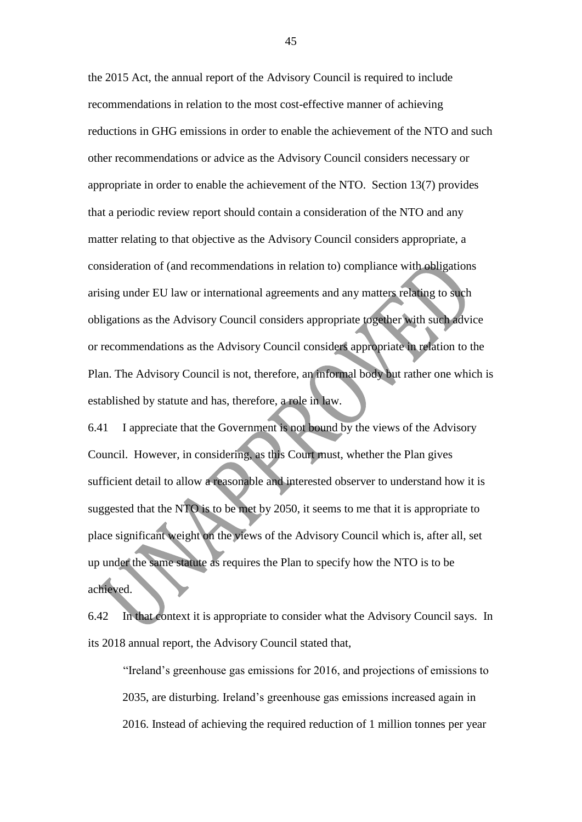the 2015 Act, the annual report of the Advisory Council is required to include recommendations in relation to the most cost-effective manner of achieving reductions in GHG emissions in order to enable the achievement of the NTO and such other recommendations or advice as the Advisory Council considers necessary or appropriate in order to enable the achievement of the NTO. Section 13(7) provides that a periodic review report should contain a consideration of the NTO and any matter relating to that objective as the Advisory Council considers appropriate, a consideration of (and recommendations in relation to) compliance with obligations arising under EU law or international agreements and any matters relating to such obligations as the Advisory Council considers appropriate together with such advice or recommendations as the Advisory Council considers appropriate in relation to the Plan. The Advisory Council is not, therefore, an informal body but rather one which is established by statute and has, therefore, a role in law.

6.41 I appreciate that the Government is not bound by the views of the Advisory Council. However, in considering, as this Court must, whether the Plan gives sufficient detail to allow a reasonable and interested observer to understand how it is suggested that the NTO is to be met by 2050, it seems to me that it is appropriate to place significant weight on the views of the Advisory Council which is, after all, set up under the same statute as requires the Plan to specify how the NTO is to be achieved.

6.42 In that context it is appropriate to consider what the Advisory Council says. In its 2018 annual report, the Advisory Council stated that,

"Ireland's greenhouse gas emissions for 2016, and projections of emissions to 2035, are disturbing. Ireland's greenhouse gas emissions increased again in 2016. Instead of achieving the required reduction of 1 million tonnes per year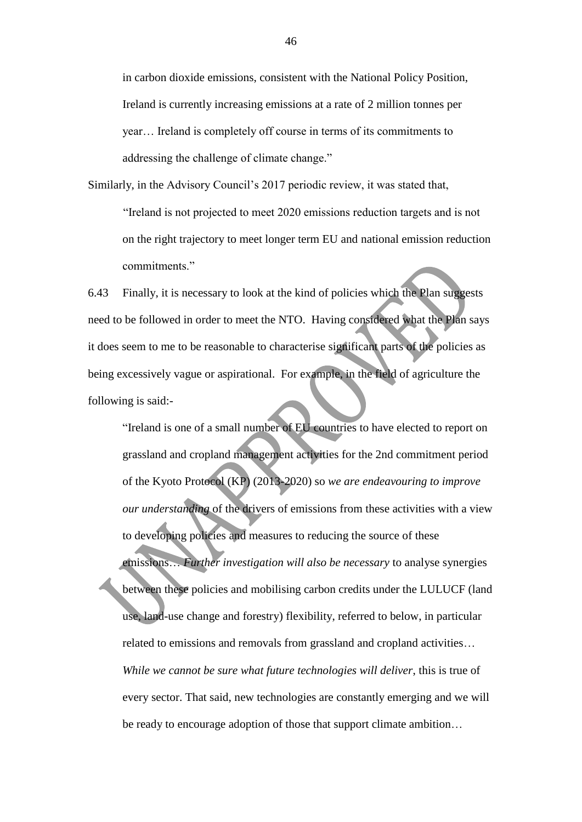in carbon dioxide emissions, consistent with the National Policy Position, Ireland is currently increasing emissions at a rate of 2 million tonnes per year… Ireland is completely off course in terms of its commitments to addressing the challenge of climate change."

Similarly, in the Advisory Council's 2017 periodic review, it was stated that, "Ireland is not projected to meet 2020 emissions reduction targets and is not on the right trajectory to meet longer term EU and national emission reduction commitments."

6.43 Finally, it is necessary to look at the kind of policies which the Plan suggests need to be followed in order to meet the NTO. Having considered what the Plan says it does seem to me to be reasonable to characterise significant parts of the policies as being excessively vague or aspirational. For example, in the field of agriculture the following is said:-

"Ireland is one of a small number of EU countries to have elected to report on grassland and cropland management activities for the 2nd commitment period of the Kyoto Protocol (KP) (2013-2020) so *we are endeavouring to improve our understanding* of the drivers of emissions from these activities with a view to developing policies and measures to reducing the source of these emissions… *Further investigation will also be necessary* to analyse synergies between these policies and mobilising carbon credits under the LULUCF (land use, land-use change and forestry) flexibility, referred to below, in particular related to emissions and removals from grassland and cropland activities… *While we cannot be sure what future technologies will deliver*, this is true of every sector. That said, new technologies are constantly emerging and we will be ready to encourage adoption of those that support climate ambition…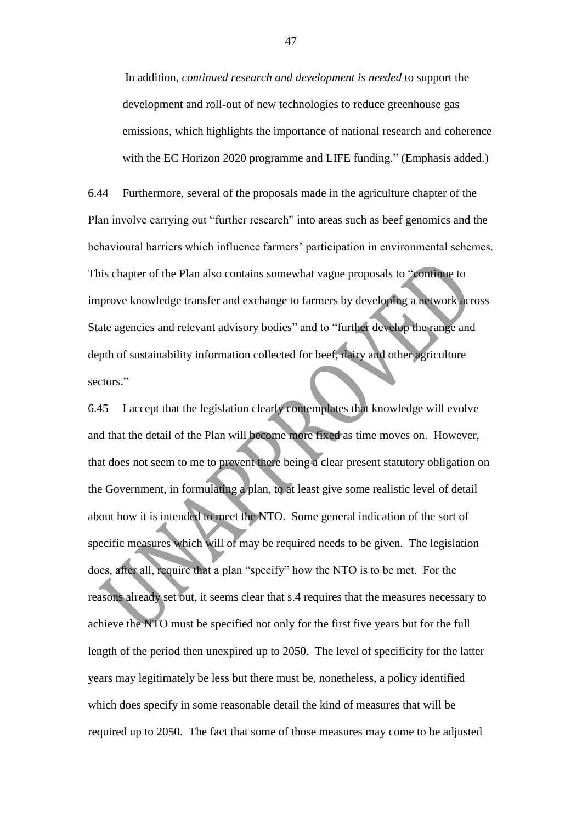In addition, *continued research and development is needed* to support the development and roll-out of new technologies to reduce greenhouse gas emissions, which highlights the importance of national research and coherence with the EC Horizon 2020 programme and LIFE funding." (Emphasis added.)

6.44 Furthermore, several of the proposals made in the agriculture chapter of the Plan involve carrying out "further research" into areas such as beef genomics and the behavioural barriers which influence farmers' participation in environmental schemes. This chapter of the Plan also contains somewhat vague proposals to "continue to improve knowledge transfer and exchange to farmers by developing a network across State agencies and relevant advisory bodies" and to "further develop the range and depth of sustainability information collected for beef, dairy and other agriculture sectors."

6.45 I accept that the legislation clearly contemplates that knowledge will evolve and that the detail of the Plan will become more fixed as time moves on. However, that does not seem to me to prevent there being a clear present statutory obligation on the Government, in formulating a plan, to at least give some realistic level of detail about how it is intended to meet the NTO. Some general indication of the sort of specific measures which will or may be required needs to be given. The legislation does, after all, require that a plan "specify" how the NTO is to be met. For the reasons already set out, it seems clear that s.4 requires that the measures necessary to achieve the NTO must be specified not only for the first five years but for the full length of the period then unexpired up to 2050. The level of specificity for the latter years may legitimately be less but there must be, nonetheless, a policy identified which does specify in some reasonable detail the kind of measures that will be required up to 2050. The fact that some of those measures may come to be adjusted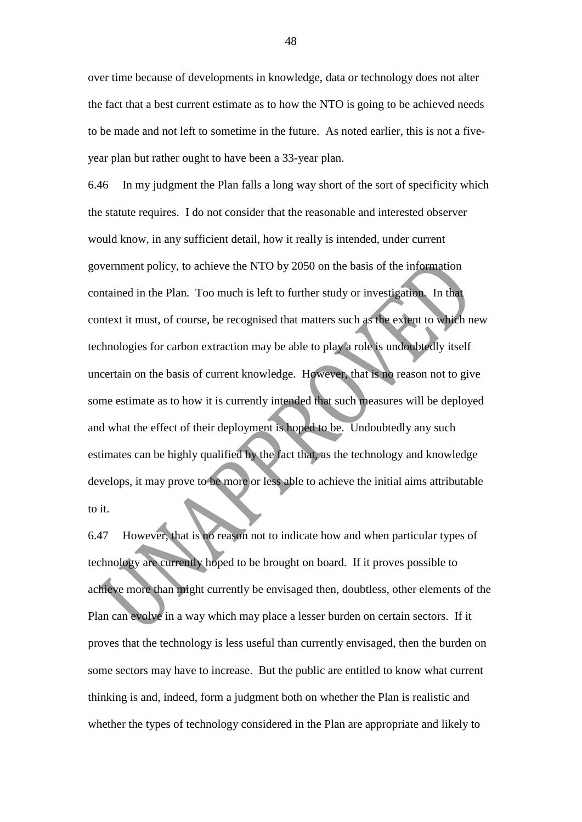over time because of developments in knowledge, data or technology does not alter the fact that a best current estimate as to how the NTO is going to be achieved needs to be made and not left to sometime in the future. As noted earlier, this is not a fiveyear plan but rather ought to have been a 33-year plan.

6.46 In my judgment the Plan falls a long way short of the sort of specificity which the statute requires. I do not consider that the reasonable and interested observer would know, in any sufficient detail, how it really is intended, under current government policy, to achieve the NTO by 2050 on the basis of the information contained in the Plan. Too much is left to further study or investigation. In that context it must, of course, be recognised that matters such as the extent to which new technologies for carbon extraction may be able to play a role is undoubtedly itself uncertain on the basis of current knowledge. However, that is no reason not to give some estimate as to how it is currently intended that such measures will be deployed and what the effect of their deployment is hoped to be. Undoubtedly any such estimates can be highly qualified by the fact that, as the technology and knowledge develops, it may prove to be more or less able to achieve the initial aims attributable to it.

6.47 However, that is no reason not to indicate how and when particular types of technology are currently hoped to be brought on board. If it proves possible to achieve more than might currently be envisaged then, doubtless, other elements of the Plan can evolve in a way which may place a lesser burden on certain sectors. If it proves that the technology is less useful than currently envisaged, then the burden on some sectors may have to increase. But the public are entitled to know what current thinking is and, indeed, form a judgment both on whether the Plan is realistic and whether the types of technology considered in the Plan are appropriate and likely to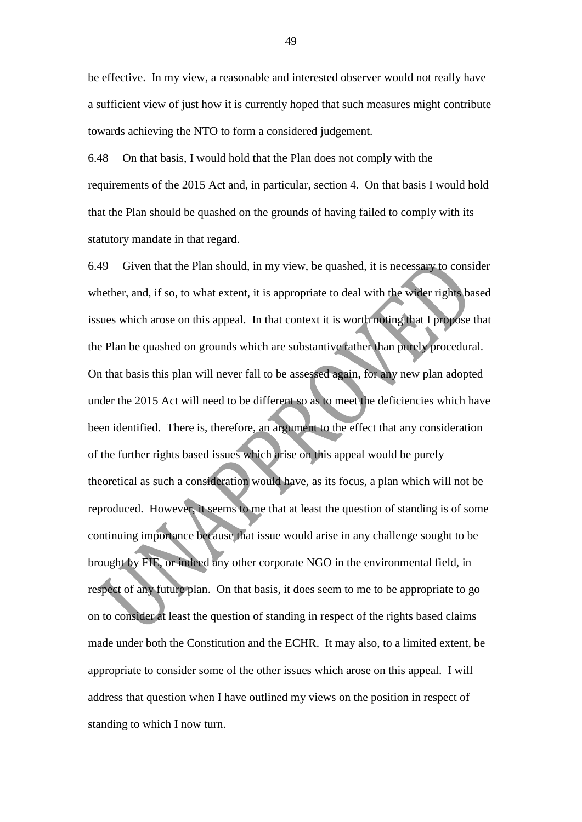be effective. In my view, a reasonable and interested observer would not really have a sufficient view of just how it is currently hoped that such measures might contribute towards achieving the NTO to form a considered judgement.

6.48 On that basis, I would hold that the Plan does not comply with the requirements of the 2015 Act and, in particular, section 4. On that basis I would hold that the Plan should be quashed on the grounds of having failed to comply with its statutory mandate in that regard.

6.49 Given that the Plan should, in my view, be quashed, it is necessary to consider whether, and, if so, to what extent, it is appropriate to deal with the wider rights based issues which arose on this appeal. In that context it is worth noting that I propose that the Plan be quashed on grounds which are substantive rather than purely procedural. On that basis this plan will never fall to be assessed again, for any new plan adopted under the 2015 Act will need to be different so as to meet the deficiencies which have been identified. There is, therefore, an argument to the effect that any consideration of the further rights based issues which arise on this appeal would be purely theoretical as such a consideration would have, as its focus, a plan which will not be reproduced. However, it seems to me that at least the question of standing is of some continuing importance because that issue would arise in any challenge sought to be brought by FIE, or indeed any other corporate NGO in the environmental field, in respect of any future plan. On that basis, it does seem to me to be appropriate to go on to consider at least the question of standing in respect of the rights based claims made under both the Constitution and the ECHR. It may also, to a limited extent, be appropriate to consider some of the other issues which arose on this appeal. I will address that question when I have outlined my views on the position in respect of standing to which I now turn.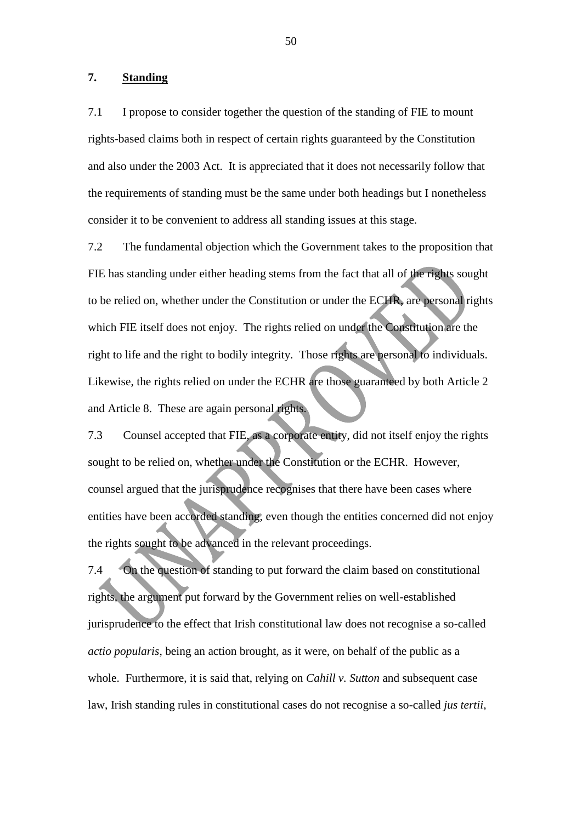## **7. Standing**

7.1 I propose to consider together the question of the standing of FIE to mount rights-based claims both in respect of certain rights guaranteed by the Constitution and also under the 2003 Act. It is appreciated that it does not necessarily follow that the requirements of standing must be the same under both headings but I nonetheless consider it to be convenient to address all standing issues at this stage.

7.2 The fundamental objection which the Government takes to the proposition that FIE has standing under either heading stems from the fact that all of the rights sought to be relied on, whether under the Constitution or under the ECHR, are personal rights which FIE itself does not enjoy. The rights relied on under the Constitution are the right to life and the right to bodily integrity. Those rights are personal to individuals. Likewise, the rights relied on under the ECHR are those guaranteed by both Article 2 and Article 8. These are again personal rights.

7.3 Counsel accepted that FIE, as a corporate entity, did not itself enjoy the rights sought to be relied on, whether under the Constitution or the ECHR. However, counsel argued that the jurisprudence recognises that there have been cases where entities have been accorded standing, even though the entities concerned did not enjoy the rights sought to be advanced in the relevant proceedings.

7.4 On the question of standing to put forward the claim based on constitutional rights, the argument put forward by the Government relies on well-established jurisprudence to the effect that Irish constitutional law does not recognise a so-called *actio popularis*, being an action brought, as it were, on behalf of the public as a whole. Furthermore, it is said that, relying on *Cahill v. Sutton* and subsequent case law, Irish standing rules in constitutional cases do not recognise a so-called *jus tertii*,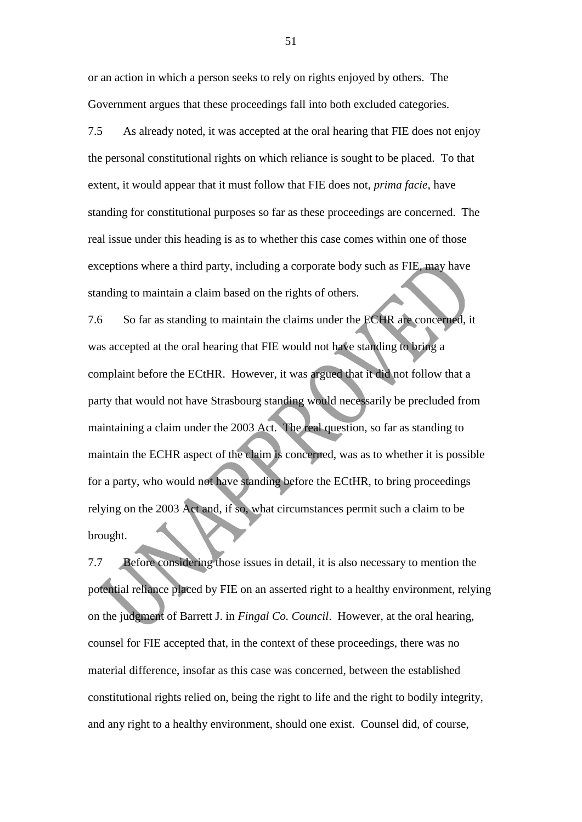or an action in which a person seeks to rely on rights enjoyed by others. The Government argues that these proceedings fall into both excluded categories.

7.5 As already noted, it was accepted at the oral hearing that FIE does not enjoy the personal constitutional rights on which reliance is sought to be placed. To that extent, it would appear that it must follow that FIE does not, *prima facie*, have standing for constitutional purposes so far as these proceedings are concerned. The real issue under this heading is as to whether this case comes within one of those exceptions where a third party, including a corporate body such as FIE, may have standing to maintain a claim based on the rights of others.

7.6 So far as standing to maintain the claims under the ECHR are concerned, it was accepted at the oral hearing that FIE would not have standing to bring a complaint before the ECtHR. However, it was argued that it did not follow that a party that would not have Strasbourg standing would necessarily be precluded from maintaining a claim under the 2003 Act. The real question, so far as standing to maintain the ECHR aspect of the claim is concerned, was as to whether it is possible for a party, who would not have standing before the ECtHR, to bring proceedings relying on the 2003 Act and, if so, what circumstances permit such a claim to be brought.

7.7 Before considering those issues in detail, it is also necessary to mention the potential reliance placed by FIE on an asserted right to a healthy environment, relying on the judgment of Barrett J. in *Fingal Co. Council*. However, at the oral hearing, counsel for FIE accepted that, in the context of these proceedings, there was no material difference, insofar as this case was concerned, between the established constitutional rights relied on, being the right to life and the right to bodily integrity, and any right to a healthy environment, should one exist. Counsel did, of course,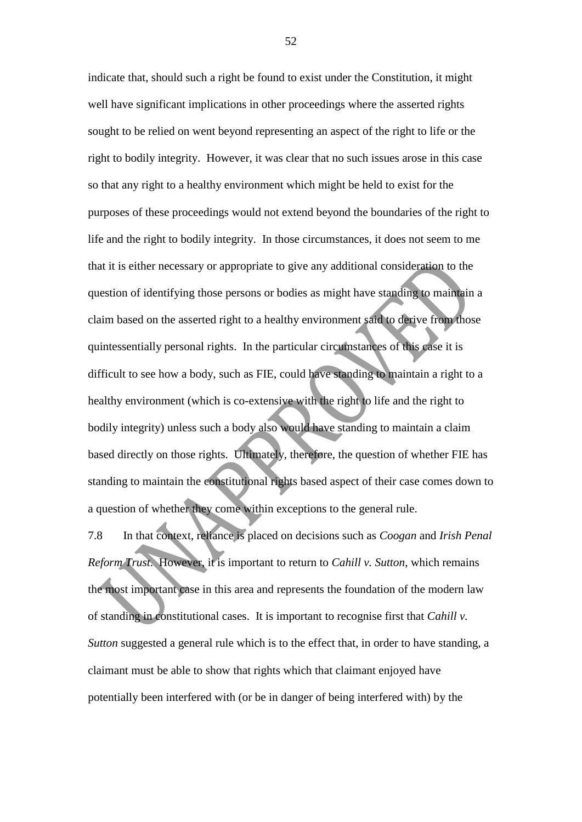indicate that, should such a right be found to exist under the Constitution, it might well have significant implications in other proceedings where the asserted rights sought to be relied on went beyond representing an aspect of the right to life or the right to bodily integrity. However, it was clear that no such issues arose in this case so that any right to a healthy environment which might be held to exist for the purposes of these proceedings would not extend beyond the boundaries of the right to life and the right to bodily integrity. In those circumstances, it does not seem to me that it is either necessary or appropriate to give any additional consideration to the question of identifying those persons or bodies as might have standing to maintain a claim based on the asserted right to a healthy environment said to derive from those quintessentially personal rights. In the particular circumstances of this case it is difficult to see how a body, such as FIE, could have standing to maintain a right to a healthy environment (which is co-extensive with the right to life and the right to bodily integrity) unless such a body also would have standing to maintain a claim based directly on those rights. Ultimately, therefore, the question of whether FIE has standing to maintain the constitutional rights based aspect of their case comes down to a question of whether they come within exceptions to the general rule.

7.8 In that context, reliance is placed on decisions such as *Coogan* and *Irish Penal Reform Trust*. However, it is important to return to *Cahill v. Sutton*, which remains the most important case in this area and represents the foundation of the modern law of standing in constitutional cases. It is important to recognise first that *Cahill v. Sutton* suggested a general rule which is to the effect that, in order to have standing, a claimant must be able to show that rights which that claimant enjoyed have potentially been interfered with (or be in danger of being interfered with) by the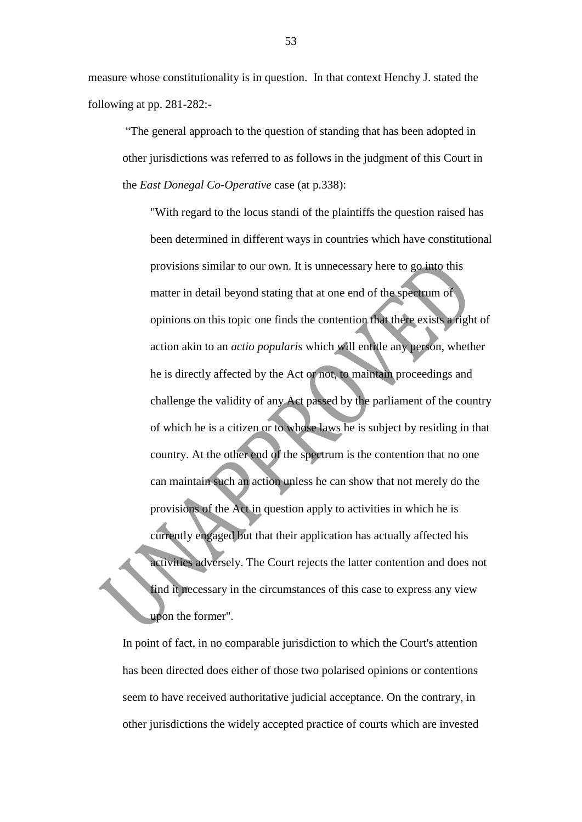measure whose constitutionality is in question. In that context Henchy J. stated the following at pp. 281-282:-

"The general approach to the question of standing that has been adopted in other jurisdictions was referred to as follows in the judgment of this Court in the *East Donegal Co-Operative* case (at p.338):

"With regard to the locus standi of the plaintiffs the question raised has been determined in different ways in countries which have constitutional provisions similar to our own. It is unnecessary here to go into this matter in detail beyond stating that at one end of the spectrum of opinions on this topic one finds the contention that there exists a right of action akin to an *actio popularis* which will entitle any person, whether he is directly affected by the Act or not, to maintain proceedings and challenge the validity of any Act passed by the parliament of the country of which he is a citizen or to whose laws he is subject by residing in that country. At the other end of the spectrum is the contention that no one can maintain such an action unless he can show that not merely do the provisions of the Act in question apply to activities in which he is currently engaged but that their application has actually affected his activities adversely. The Court rejects the latter contention and does not find it necessary in the circumstances of this case to express any view upon the former".

In point of fact, in no comparable jurisdiction to which the Court's attention has been directed does either of those two polarised opinions or contentions seem to have received authoritative judicial acceptance. On the contrary, in other jurisdictions the widely accepted practice of courts which are invested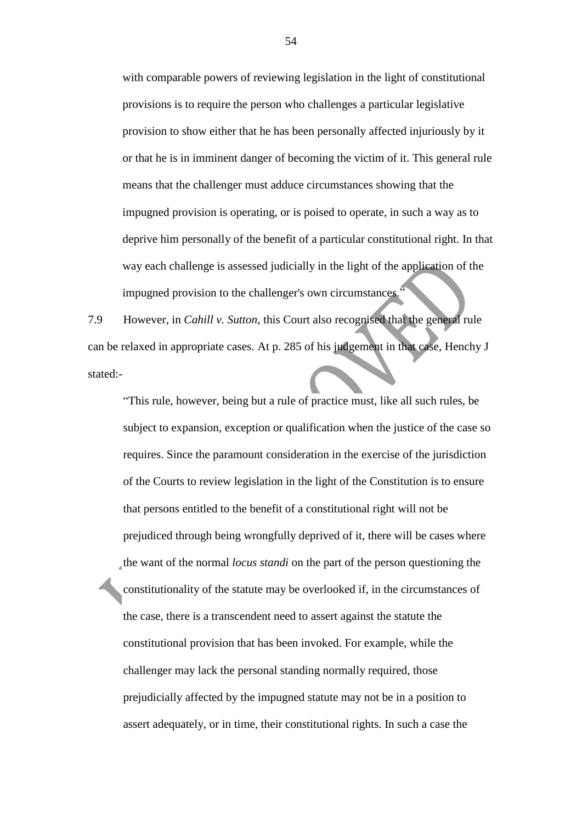with comparable powers of reviewing legislation in the light of constitutional provisions is to require the person who challenges a particular legislative provision to show either that he has been personally affected injuriously by it or that he is in imminent danger of becoming the victim of it. This general rule means that the challenger must adduce circumstances showing that the impugned provision is operating, or is poised to operate, in such a way as to deprive him personally of the benefit of a particular constitutional right. In that way each challenge is assessed judicially in the light of the application of the impugned provision to the challenger's own circumstances."

7.9 However, in *Cahill v. Sutton*, this Court also recognised that the general rule can be relaxed in appropriate cases. At p. 285 of his judgement in that case, Henchy J stated:-

"This rule, however, being but a rule of practice must, like all such rules, be subject to expansion, exception or qualification when the justice of the case so requires. Since the paramount consideration in the exercise of the jurisdiction of the Courts to review legislation in the light of the Constitution is to ensure that persons entitled to the benefit of a constitutional right will not be prejudiced through being wrongfully deprived of it, there will be cases where the want of the normal *locus standi* on the part of the person questioning the constitutionality of the statute may be overlooked if, in the circumstances of the case, there is a transcendent need to assert against the statute the constitutional provision that has been invoked. For example, while the challenger may lack the personal standing normally required, those prejudicially affected by the impugned statute may not be in a position to assert adequately, or in time, their constitutional rights. In such a case the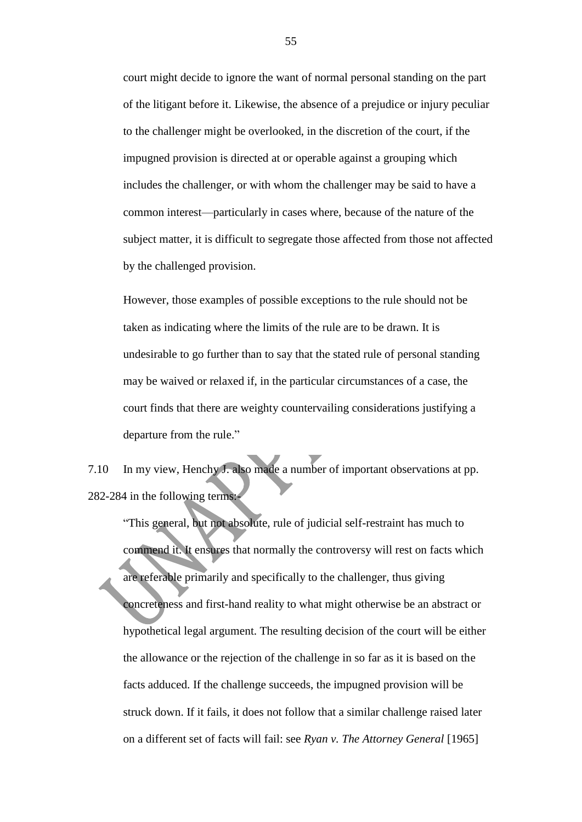court might decide to ignore the want of normal personal standing on the part of the litigant before it. Likewise, the absence of a prejudice or injury peculiar to the challenger might be overlooked, in the discretion of the court, if the impugned provision is directed at or operable against a grouping which includes the challenger, or with whom the challenger may be said to have a common interest—particularly in cases where, because of the nature of the subject matter, it is difficult to segregate those affected from those not affected by the challenged provision.

However, those examples of possible exceptions to the rule should not be taken as indicating where the limits of the rule are to be drawn. It is undesirable to go further than to say that the stated rule of personal standing may be waived or relaxed if, in the particular circumstances of a case, the court finds that there are weighty countervailing considerations justifying a departure from the rule."

7.10 In my view, Henchy J. also made a number of important observations at pp. 282-284 in the following terms:-

"This general, but not absolute, rule of judicial self-restraint has much to commend it. It ensures that normally the controversy will rest on facts which are referable primarily and specifically to the challenger, thus giving concreteness and first-hand reality to what might otherwise be an abstract or hypothetical legal argument. The resulting decision of the court will be either the allowance or the rejection of the challenge in so far as it is based on the facts adduced. If the challenge succeeds, the impugned provision will be struck down. If it fails, it does not follow that a similar challenge raised later on a different set of facts will fail: see *Ryan v. The Attorney General* [1965]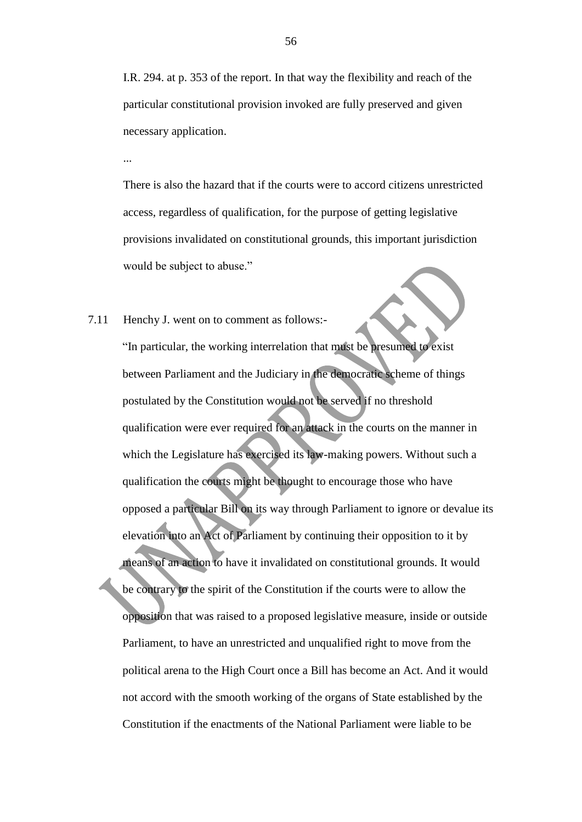I.R. 294. at p. 353 of the report. In that way the flexibility and reach of the particular constitutional provision invoked are fully preserved and given necessary application.

...

There is also the hazard that if the courts were to accord citizens unrestricted access, regardless of qualification, for the purpose of getting legislative provisions invalidated on constitutional grounds, this important jurisdiction would be subject to abuse."

7.11 Henchy J. went on to comment as follows:- "In particular, the working interrelation that must be presumed to exist between Parliament and the Judiciary in the democratic scheme of things postulated by the Constitution would not be served if no threshold qualification were ever required for an attack in the courts on the manner in which the Legislature has exercised its law-making powers. Without such a qualification the courts might be thought to encourage those who have opposed a particular Bill on its way through Parliament to ignore or devalue its elevation into an Act of Parliament by continuing their opposition to it by means of an action to have it invalidated on constitutional grounds. It would be contrary to the spirit of the Constitution if the courts were to allow the opposition that was raised to a proposed legislative measure, inside or outside Parliament, to have an unrestricted and unqualified right to move from the political arena to the High Court once a Bill has become an Act. And it would not accord with the smooth working of the organs of State established by the Constitution if the enactments of the National Parliament were liable to be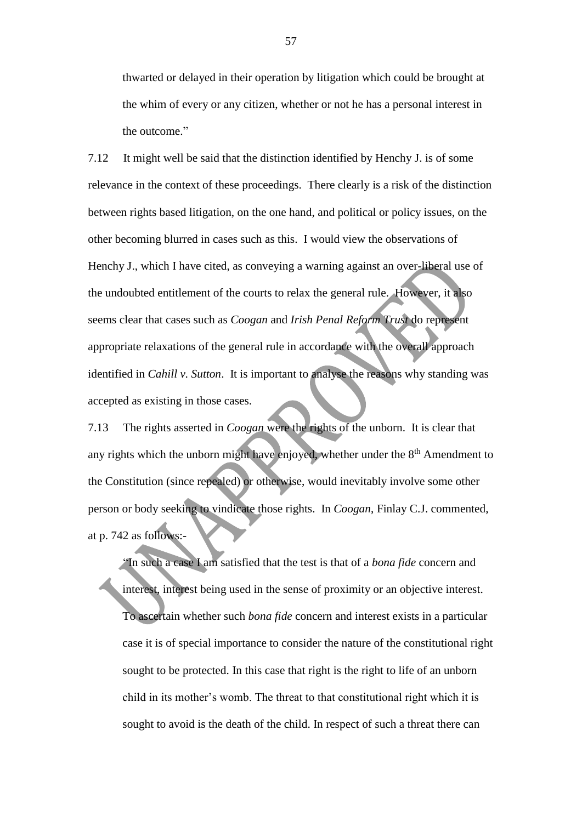thwarted or delayed in their operation by litigation which could be brought at the whim of every or any citizen, whether or not he has a personal interest in the outcome."

7.12 It might well be said that the distinction identified by Henchy J. is of some relevance in the context of these proceedings. There clearly is a risk of the distinction between rights based litigation, on the one hand, and political or policy issues, on the other becoming blurred in cases such as this. I would view the observations of Henchy J., which I have cited, as conveying a warning against an over-liberal use of the undoubted entitlement of the courts to relax the general rule. However, it also seems clear that cases such as *Coogan* and *Irish Penal Reform Trust* do represent appropriate relaxations of the general rule in accordance with the overall approach identified in *Cahill v. Sutton*. It is important to analyse the reasons why standing was accepted as existing in those cases.

7.13 The rights asserted in *Coogan* were the rights of the unborn. It is clear that any rights which the unborn might have enjoyed, whether under the 8<sup>th</sup> Amendment to the Constitution (since repealed) or otherwise, would inevitably involve some other person or body seeking to vindicate those rights. In *Coogan*, Finlay C.J. commented, at p. 742 as follows:-

"In such a case I am satisfied that the test is that of a *bona fide* concern and interest, interest being used in the sense of proximity or an objective interest. To ascertain whether such *bona fide* concern and interest exists in a particular case it is of special importance to consider the nature of the constitutional right sought to be protected. In this case that right is the right to life of an unborn child in its mother's womb. The threat to that constitutional right which it is sought to avoid is the death of the child. In respect of such a threat there can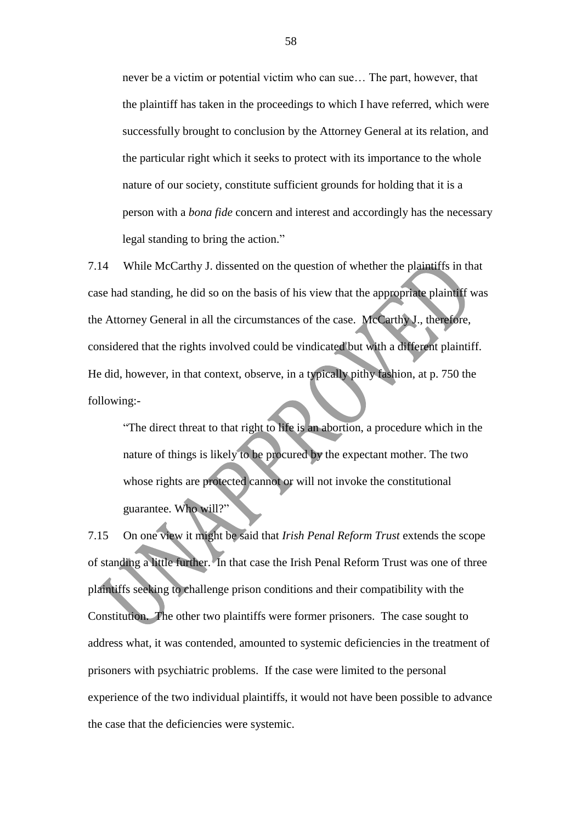never be a victim or potential victim who can sue… The part, however, that the plaintiff has taken in the proceedings to which I have referred, which were successfully brought to conclusion by the Attorney General at its relation, and the particular right which it seeks to protect with its importance to the whole nature of our society, constitute sufficient grounds for holding that it is a person with a *bona fide* concern and interest and accordingly has the necessary legal standing to bring the action."

7.14 While McCarthy J. dissented on the question of whether the plaintiffs in that case had standing, he did so on the basis of his view that the appropriate plaintiff was the Attorney General in all the circumstances of the case. McCarthy J., therefore, considered that the rights involved could be vindicated but with a different plaintiff. He did, however, in that context, observe, in a typically pithy fashion, at p. 750 the following:-

"The direct threat to that right to life is an abortion, a procedure which in the nature of things is likely to be procured by the expectant mother. The two whose rights are protected cannot or will not invoke the constitutional guarantee. Who will?"

7.15 On one view it might be said that *Irish Penal Reform Trust* extends the scope of standing a little further. In that case the Irish Penal Reform Trust was one of three plaintiffs seeking to challenge prison conditions and their compatibility with the Constitution. The other two plaintiffs were former prisoners. The case sought to address what, it was contended, amounted to systemic deficiencies in the treatment of prisoners with psychiatric problems. If the case were limited to the personal experience of the two individual plaintiffs, it would not have been possible to advance the case that the deficiencies were systemic.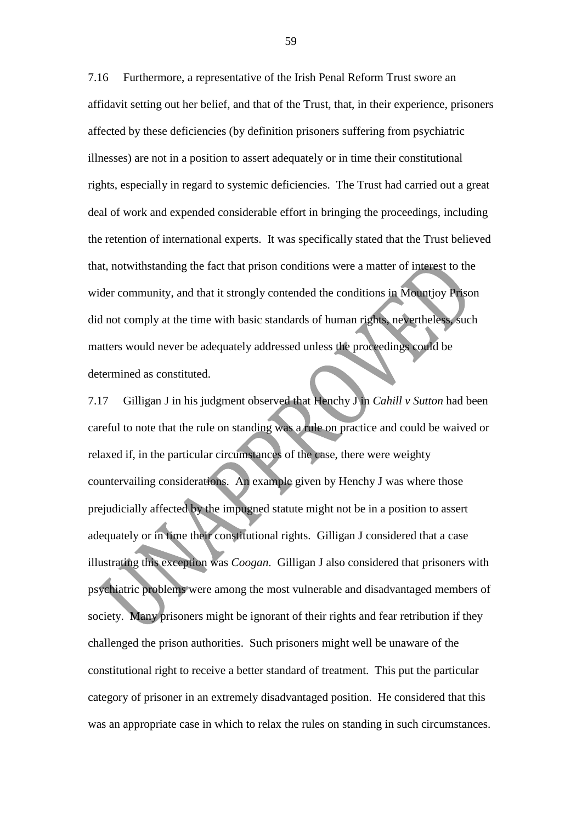7.16 Furthermore, a representative of the Irish Penal Reform Trust swore an affidavit setting out her belief, and that of the Trust, that, in their experience, prisoners affected by these deficiencies (by definition prisoners suffering from psychiatric illnesses) are not in a position to assert adequately or in time their constitutional rights, especially in regard to systemic deficiencies. The Trust had carried out a great deal of work and expended considerable effort in bringing the proceedings, including the retention of international experts. It was specifically stated that the Trust believed that, notwithstanding the fact that prison conditions were a matter of interest to the wider community, and that it strongly contended the conditions in Mountjoy Prison did not comply at the time with basic standards of human rights, nevertheless, such matters would never be adequately addressed unless the proceedings could be determined as constituted.

7.17 Gilligan J in his judgment observed that Henchy J in *Cahill v Sutton* had been careful to note that the rule on standing was a rule on practice and could be waived or relaxed if, in the particular circumstances of the case, there were weighty countervailing considerations. An example given by Henchy J was where those prejudicially affected by the impugned statute might not be in a position to assert adequately or in time their constitutional rights. Gilligan J considered that a case illustrating this exception was *Coogan*. Gilligan J also considered that prisoners with psychiatric problems were among the most vulnerable and disadvantaged members of society. Many prisoners might be ignorant of their rights and fear retribution if they challenged the prison authorities. Such prisoners might well be unaware of the constitutional right to receive a better standard of treatment. This put the particular category of prisoner in an extremely disadvantaged position. He considered that this was an appropriate case in which to relax the rules on standing in such circumstances.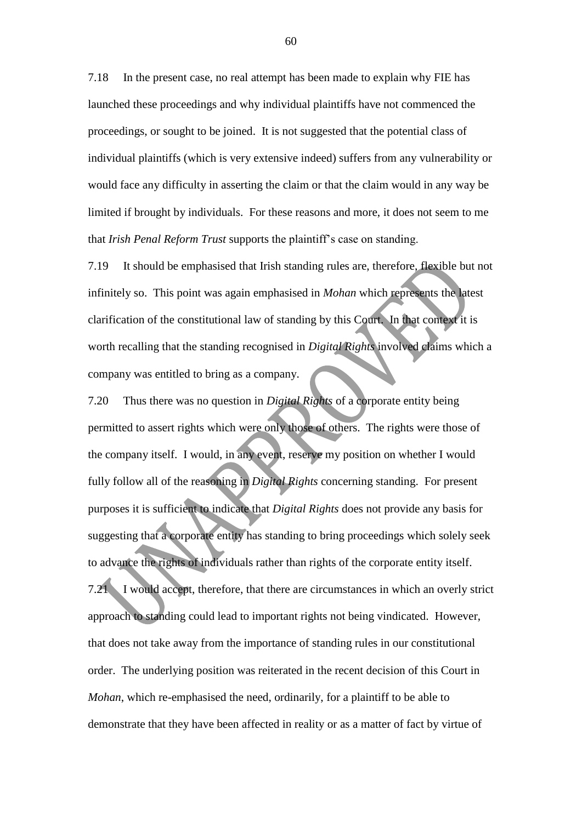7.18 In the present case, no real attempt has been made to explain why FIE has launched these proceedings and why individual plaintiffs have not commenced the proceedings, or sought to be joined. It is not suggested that the potential class of individual plaintiffs (which is very extensive indeed) suffers from any vulnerability or would face any difficulty in asserting the claim or that the claim would in any way be limited if brought by individuals. For these reasons and more, it does not seem to me that *Irish Penal Reform Trust* supports the plaintiff's case on standing.

7.19 It should be emphasised that Irish standing rules are, therefore, flexible but not infinitely so. This point was again emphasised in *Mohan* which represents the latest clarification of the constitutional law of standing by this Court. In that context it is worth recalling that the standing recognised in *Digital Rights* involved claims which a company was entitled to bring as a company.

7.20 Thus there was no question in *Digital Rights* of a corporate entity being permitted to assert rights which were only those of others. The rights were those of the company itself. I would, in any event, reserve my position on whether I would fully follow all of the reasoning in *Digital Rights* concerning standing. For present purposes it is sufficient to indicate that *Digital Rights* does not provide any basis for suggesting that a corporate entity has standing to bring proceedings which solely seek to advance the rights of individuals rather than rights of the corporate entity itself. 7.21 I would accept, therefore, that there are circumstances in which an overly strict approach to standing could lead to important rights not being vindicated. However, that does not take away from the importance of standing rules in our constitutional order. The underlying position was reiterated in the recent decision of this Court in *Mohan*, which re-emphasised the need, ordinarily, for a plaintiff to be able to demonstrate that they have been affected in reality or as a matter of fact by virtue of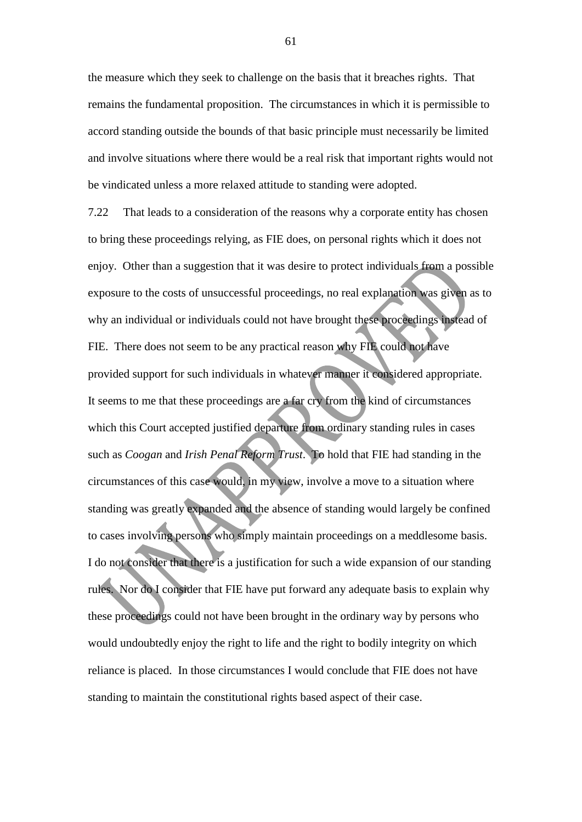the measure which they seek to challenge on the basis that it breaches rights. That remains the fundamental proposition. The circumstances in which it is permissible to accord standing outside the bounds of that basic principle must necessarily be limited and involve situations where there would be a real risk that important rights would not be vindicated unless a more relaxed attitude to standing were adopted.

7.22 That leads to a consideration of the reasons why a corporate entity has chosen to bring these proceedings relying, as FIE does, on personal rights which it does not enjoy. Other than a suggestion that it was desire to protect individuals from a possible exposure to the costs of unsuccessful proceedings, no real explanation was given as to why an individual or individuals could not have brought these proceedings instead of FIE. There does not seem to be any practical reason why FIE could not have provided support for such individuals in whatever manner it considered appropriate. It seems to me that these proceedings are a far cry from the kind of circumstances which this Court accepted justified departure from ordinary standing rules in cases such as *Coogan* and *Irish Penal Reform Trust*. To hold that FIE had standing in the circumstances of this case would, in my view, involve a move to a situation where standing was greatly expanded and the absence of standing would largely be confined to cases involving persons who simply maintain proceedings on a meddlesome basis. I do not consider that there is a justification for such a wide expansion of our standing rules. Nor do I consider that FIE have put forward any adequate basis to explain why these proceedings could not have been brought in the ordinary way by persons who would undoubtedly enjoy the right to life and the right to bodily integrity on which reliance is placed. In those circumstances I would conclude that FIE does not have standing to maintain the constitutional rights based aspect of their case.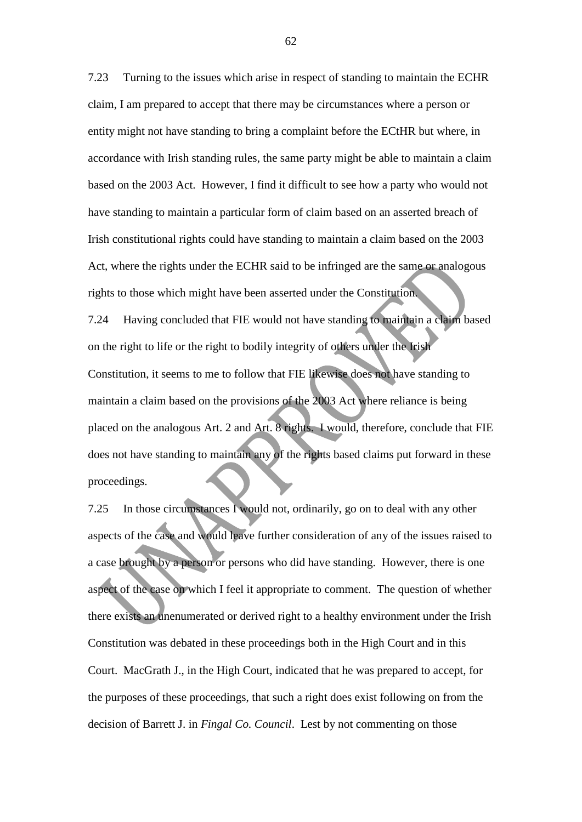7.23 Turning to the issues which arise in respect of standing to maintain the ECHR claim, I am prepared to accept that there may be circumstances where a person or entity might not have standing to bring a complaint before the ECtHR but where, in accordance with Irish standing rules, the same party might be able to maintain a claim based on the 2003 Act. However, I find it difficult to see how a party who would not have standing to maintain a particular form of claim based on an asserted breach of Irish constitutional rights could have standing to maintain a claim based on the 2003 Act, where the rights under the ECHR said to be infringed are the same or analogous rights to those which might have been asserted under the Constitution. 7.24 Having concluded that FIE would not have standing to maintain a claim based on the right to life or the right to bodily integrity of others under the Irish Constitution, it seems to me to follow that FIE likewise does not have standing to maintain a claim based on the provisions of the 2003 Act where reliance is being placed on the analogous Art. 2 and Art. 8 rights. I would, therefore, conclude that FIE does not have standing to maintain any of the rights based claims put forward in these

proceedings.

7.25 In those circumstances I would not, ordinarily, go on to deal with any other aspects of the case and would leave further consideration of any of the issues raised to a case brought by a person or persons who did have standing. However, there is one aspect of the case on which I feel it appropriate to comment. The question of whether there exists an unenumerated or derived right to a healthy environment under the Irish Constitution was debated in these proceedings both in the High Court and in this Court. MacGrath J., in the High Court, indicated that he was prepared to accept, for the purposes of these proceedings, that such a right does exist following on from the decision of Barrett J. in *Fingal Co. Council*. Lest by not commenting on those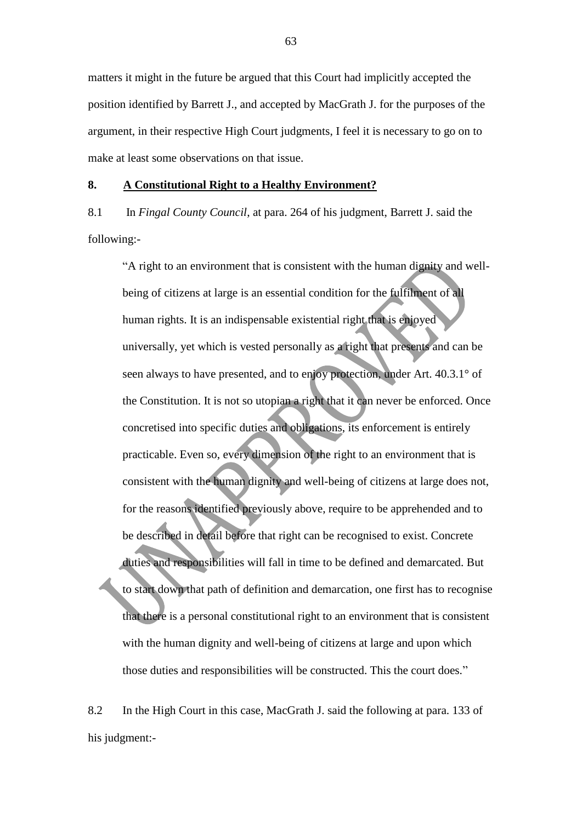matters it might in the future be argued that this Court had implicitly accepted the position identified by Barrett J., and accepted by MacGrath J. for the purposes of the argument, in their respective High Court judgments, I feel it is necessary to go on to make at least some observations on that issue.

## **8. A Constitutional Right to a Healthy Environment?**

8.1 In *Fingal County Council*, at para. 264 of his judgment, Barrett J. said the following:-

"A right to an environment that is consistent with the human dignity and wellbeing of citizens at large is an essential condition for the fulfilment of all human rights. It is an indispensable existential right that is enjoyed universally, yet which is vested personally as a right that presents and can be seen always to have presented, and to enjoy protection, under Art. 40.3.1° of the Constitution. It is not so utopian a right that it can never be enforced. Once concretised into specific duties and obligations, its enforcement is entirely practicable. Even so, every dimension of the right to an environment that is consistent with the human dignity and well-being of citizens at large does not, for the reasons identified previously above, require to be apprehended and to be described in detail before that right can be recognised to exist. Concrete duties and responsibilities will fall in time to be defined and demarcated. But to start down that path of definition and demarcation, one first has to recognise that there is a personal constitutional right to an environment that is consistent with the human dignity and well-being of citizens at large and upon which those duties and responsibilities will be constructed. This the court does."

8.2 In the High Court in this case, MacGrath J. said the following at para. 133 of his judgment:-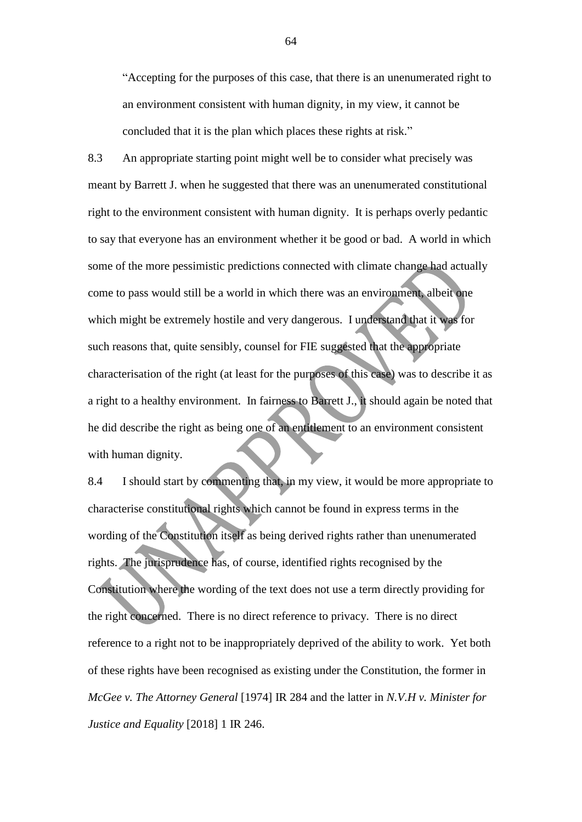"Accepting for the purposes of this case, that there is an unenumerated right to an environment consistent with human dignity, in my view, it cannot be concluded that it is the plan which places these rights at risk."

8.3 An appropriate starting point might well be to consider what precisely was meant by Barrett J. when he suggested that there was an unenumerated constitutional right to the environment consistent with human dignity. It is perhaps overly pedantic to say that everyone has an environment whether it be good or bad. A world in which some of the more pessimistic predictions connected with climate change had actually come to pass would still be a world in which there was an environment, albeit one which might be extremely hostile and very dangerous. I understand that it was for such reasons that, quite sensibly, counsel for FIE suggested that the appropriate characterisation of the right (at least for the purposes of this case) was to describe it as a right to a healthy environment. In fairness to Barrett J., it should again be noted that he did describe the right as being one of an entitlement to an environment consistent with human dignity.

8.4 I should start by commenting that, in my view, it would be more appropriate to characterise constitutional rights which cannot be found in express terms in the wording of the Constitution itself as being derived rights rather than unenumerated rights. The jurisprudence has, of course, identified rights recognised by the Constitution where the wording of the text does not use a term directly providing for the right concerned. There is no direct reference to privacy. There is no direct reference to a right not to be inappropriately deprived of the ability to work. Yet both of these rights have been recognised as existing under the Constitution, the former in *McGee v. The Attorney General* [1974] IR 284 and the latter in *N.V.H v. Minister for Justice and Equality* [2018] 1 IR 246.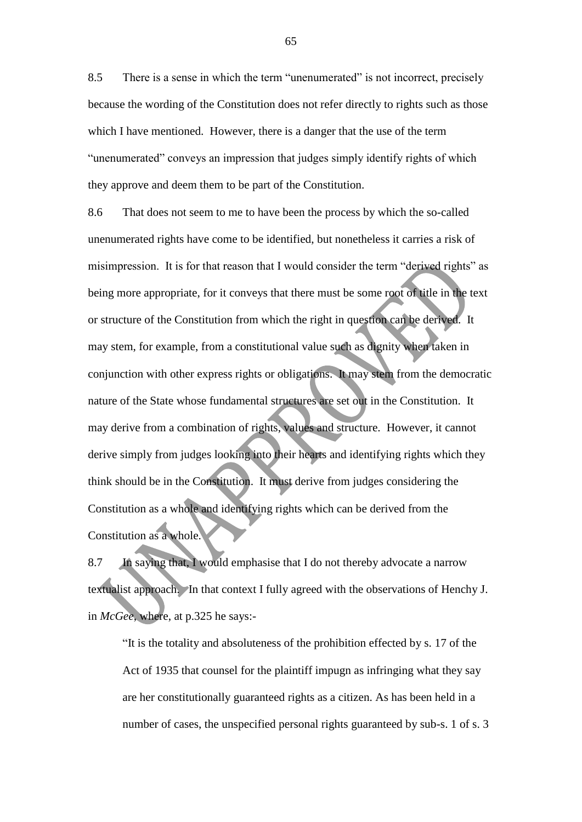8.5 There is a sense in which the term "unenumerated" is not incorrect, precisely because the wording of the Constitution does not refer directly to rights such as those which I have mentioned. However, there is a danger that the use of the term "unenumerated" conveys an impression that judges simply identify rights of which they approve and deem them to be part of the Constitution.

8.6 That does not seem to me to have been the process by which the so-called unenumerated rights have come to be identified, but nonetheless it carries a risk of misimpression. It is for that reason that I would consider the term "derived rights" as being more appropriate, for it conveys that there must be some root of title in the text or structure of the Constitution from which the right in question can be derived. It may stem, for example, from a constitutional value such as dignity when taken in conjunction with other express rights or obligations. It may stem from the democratic nature of the State whose fundamental structures are set out in the Constitution. It may derive from a combination of rights, values and structure. However, it cannot derive simply from judges looking into their hearts and identifying rights which they think should be in the Constitution. It must derive from judges considering the Constitution as a whole and identifying rights which can be derived from the Constitution as a whole.

8.7 In saying that, I would emphasise that I do not thereby advocate a narrow textualist approach. In that context I fully agreed with the observations of Henchy J. in *McGee*, where, at p.325 he says:-

"It is the totality and absoluteness of the prohibition effected by s. 17 of the Act of 1935 that counsel for the plaintiff impugn as infringing what they say are her constitutionally guaranteed rights as a citizen. As has been held in a number of cases, the unspecified personal rights guaranteed by sub-s. 1 of s. 3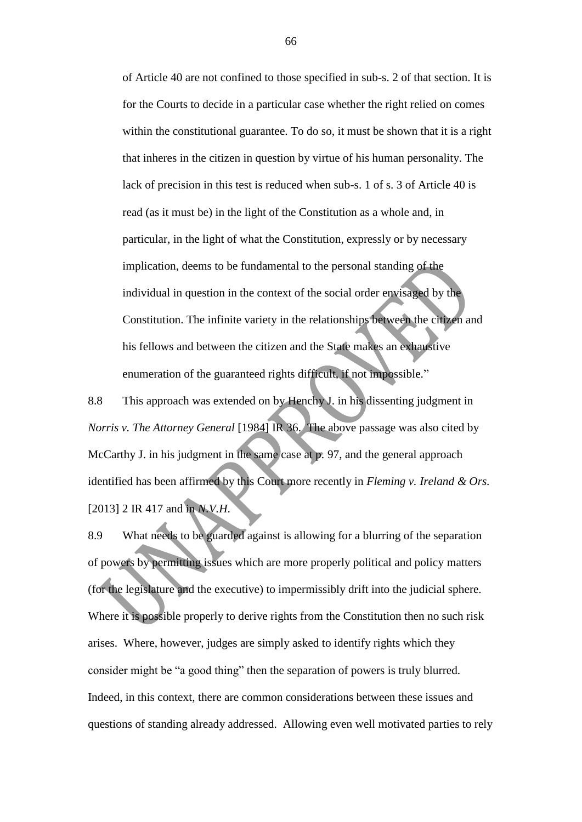of Article 40 are not confined to those specified in sub-s. 2 of that section. It is for the Courts to decide in a particular case whether the right relied on comes within the constitutional guarantee. To do so, it must be shown that it is a right that inheres in the citizen in question by virtue of his human personality. The lack of precision in this test is reduced when sub-s. 1 of s. 3 of Article 40 is read (as it must be) in the light of the Constitution as a whole and, in particular, in the light of what the Constitution, expressly or by necessary implication, deems to be fundamental to the personal standing of the individual in question in the context of the social order envisaged by the Constitution. The infinite variety in the relationships between the citizen and his fellows and between the citizen and the State makes an exhaustive enumeration of the guaranteed rights difficult, if not impossible."

8.8 This approach was extended on by Henchy J. in his dissenting judgment in *Norris v. The Attorney General* [1984] IR 36. The above passage was also cited by McCarthy J. in his judgment in the same case at p. 97, and the general approach identified has been affirmed by this Court more recently in *Fleming v. Ireland & Ors.* [2013] 2 IR 417 and in *N.V.H*.

8.9 What needs to be guarded against is allowing for a blurring of the separation of powers by permitting issues which are more properly political and policy matters (for the legislature and the executive) to impermissibly drift into the judicial sphere. Where it is possible properly to derive rights from the Constitution then no such risk arises. Where, however, judges are simply asked to identify rights which they consider might be "a good thing" then the separation of powers is truly blurred. Indeed, in this context, there are common considerations between these issues and questions of standing already addressed. Allowing even well motivated parties to rely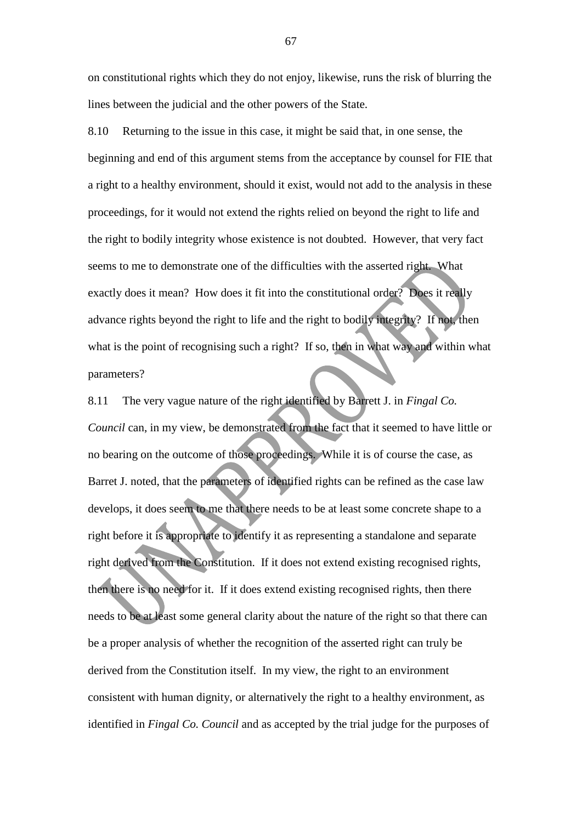on constitutional rights which they do not enjoy, likewise, runs the risk of blurring the lines between the judicial and the other powers of the State.

8.10 Returning to the issue in this case, it might be said that, in one sense, the beginning and end of this argument stems from the acceptance by counsel for FIE that a right to a healthy environment, should it exist, would not add to the analysis in these proceedings, for it would not extend the rights relied on beyond the right to life and the right to bodily integrity whose existence is not doubted. However, that very fact seems to me to demonstrate one of the difficulties with the asserted right. What exactly does it mean? How does it fit into the constitutional order? Does it really advance rights beyond the right to life and the right to bodily integrity? If not, then what is the point of recognising such a right? If so, then in what way and within what parameters?

8.11 The very vague nature of the right identified by Barrett J. in *Fingal Co. Council* can, in my view, be demonstrated from the fact that it seemed to have little or no bearing on the outcome of those proceedings. While it is of course the case, as Barret J. noted, that the parameters of identified rights can be refined as the case law develops, it does seem to me that there needs to be at least some concrete shape to a right before it is appropriate to identify it as representing a standalone and separate right derived from the Constitution. If it does not extend existing recognised rights, then there is no need for it. If it does extend existing recognised rights, then there needs to be at least some general clarity about the nature of the right so that there can be a proper analysis of whether the recognition of the asserted right can truly be derived from the Constitution itself. In my view, the right to an environment consistent with human dignity, or alternatively the right to a healthy environment, as identified in *Fingal Co. Council* and as accepted by the trial judge for the purposes of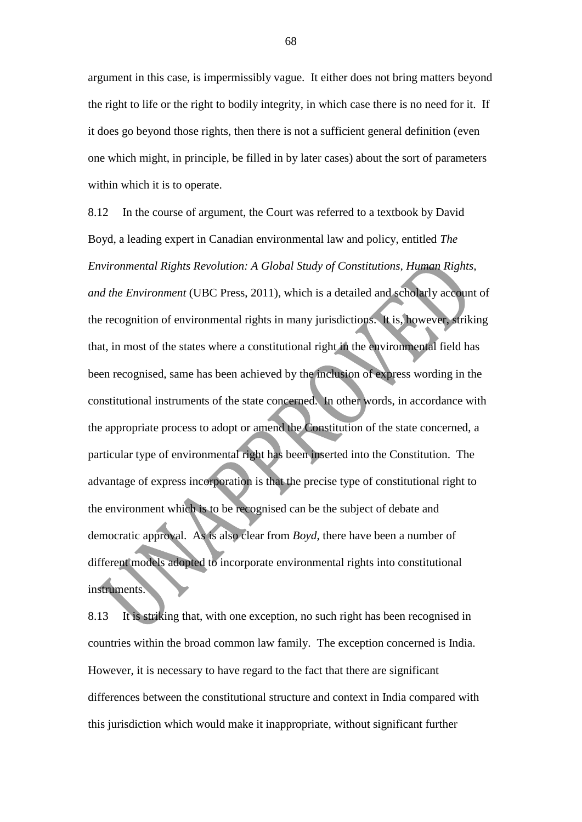argument in this case, is impermissibly vague. It either does not bring matters beyond the right to life or the right to bodily integrity, in which case there is no need for it. If it does go beyond those rights, then there is not a sufficient general definition (even one which might, in principle, be filled in by later cases) about the sort of parameters within which it is to operate.

8.12 In the course of argument, the Court was referred to a textbook by David Boyd, a leading expert in Canadian environmental law and policy, entitled *The Environmental Rights Revolution: A Global Study of Constitutions, Human Rights, and the Environment* (UBC Press, 2011), which is a detailed and scholarly account of the recognition of environmental rights in many jurisdictions. It is, however, striking that, in most of the states where a constitutional right in the environmental field has been recognised, same has been achieved by the inclusion of express wording in the constitutional instruments of the state concerned. In other words, in accordance with the appropriate process to adopt or amend the Constitution of the state concerned, a particular type of environmental right has been inserted into the Constitution. The advantage of express incorporation is that the precise type of constitutional right to the environment which is to be recognised can be the subject of debate and democratic approval. As is also clear from *Boyd*, there have been a number of different models adopted to incorporate environmental rights into constitutional instruments.

8.13 It is striking that, with one exception, no such right has been recognised in countries within the broad common law family. The exception concerned is India. However, it is necessary to have regard to the fact that there are significant differences between the constitutional structure and context in India compared with this jurisdiction which would make it inappropriate, without significant further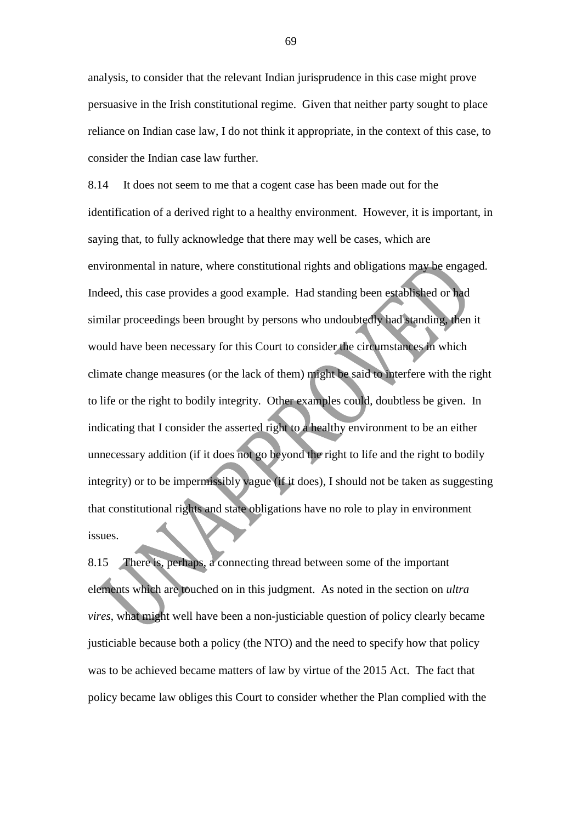analysis, to consider that the relevant Indian jurisprudence in this case might prove persuasive in the Irish constitutional regime. Given that neither party sought to place reliance on Indian case law, I do not think it appropriate, in the context of this case, to consider the Indian case law further.

8.14 It does not seem to me that a cogent case has been made out for the identification of a derived right to a healthy environment. However, it is important, in saying that, to fully acknowledge that there may well be cases, which are environmental in nature, where constitutional rights and obligations may be engaged. Indeed, this case provides a good example. Had standing been established or had similar proceedings been brought by persons who undoubtedly had standing, then it would have been necessary for this Court to consider the circumstances in which climate change measures (or the lack of them) might be said to interfere with the right to life or the right to bodily integrity. Other examples could, doubtless be given. In indicating that I consider the asserted right to a healthy environment to be an either unnecessary addition (if it does not go beyond the right to life and the right to bodily integrity) or to be impermissibly vague (if it does), I should not be taken as suggesting that constitutional rights and state obligations have no role to play in environment issues.

8.15 There is, perhaps, a connecting thread between some of the important elements which are touched on in this judgment. As noted in the section on *ultra vires*, what might well have been a non-justiciable question of policy clearly became justiciable because both a policy (the NTO) and the need to specify how that policy was to be achieved became matters of law by virtue of the 2015 Act. The fact that policy became law obliges this Court to consider whether the Plan complied with the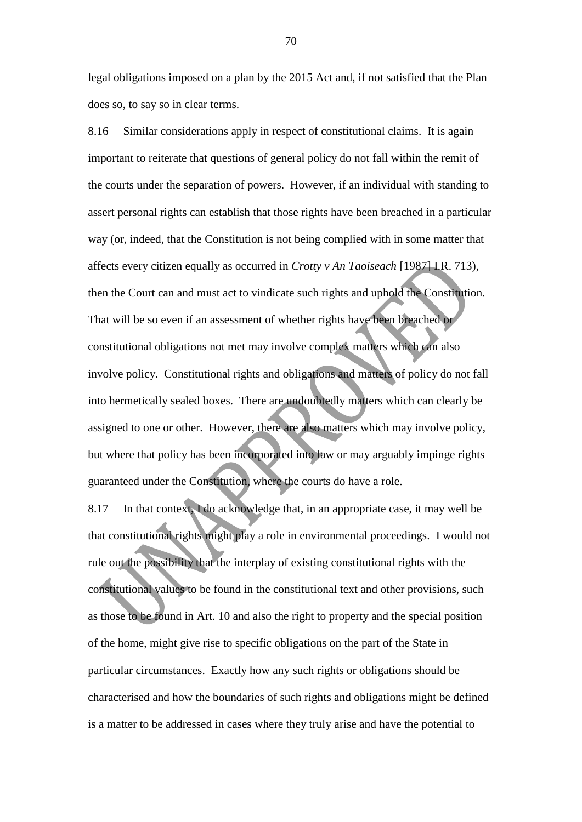legal obligations imposed on a plan by the 2015 Act and, if not satisfied that the Plan does so, to say so in clear terms.

8.16 Similar considerations apply in respect of constitutional claims. It is again important to reiterate that questions of general policy do not fall within the remit of the courts under the separation of powers. However, if an individual with standing to assert personal rights can establish that those rights have been breached in a particular way (or, indeed, that the Constitution is not being complied with in some matter that affects every citizen equally as occurred in *Crotty v An Taoiseach* [1987] I.R. 713), then the Court can and must act to vindicate such rights and uphold the Constitution. That will be so even if an assessment of whether rights have been breached or constitutional obligations not met may involve complex matters which can also involve policy. Constitutional rights and obligations and matters of policy do not fall into hermetically sealed boxes. There are undoubtedly matters which can clearly be assigned to one or other. However, there are also matters which may involve policy, but where that policy has been incorporated into law or may arguably impinge rights guaranteed under the Constitution, where the courts do have a role.

8.17 In that context, I do acknowledge that, in an appropriate case, it may well be that constitutional rights might play a role in environmental proceedings. I would not rule out the possibility that the interplay of existing constitutional rights with the constitutional values to be found in the constitutional text and other provisions, such as those to be found in Art. 10 and also the right to property and the special position of the home, might give rise to specific obligations on the part of the State in particular circumstances. Exactly how any such rights or obligations should be characterised and how the boundaries of such rights and obligations might be defined is a matter to be addressed in cases where they truly arise and have the potential to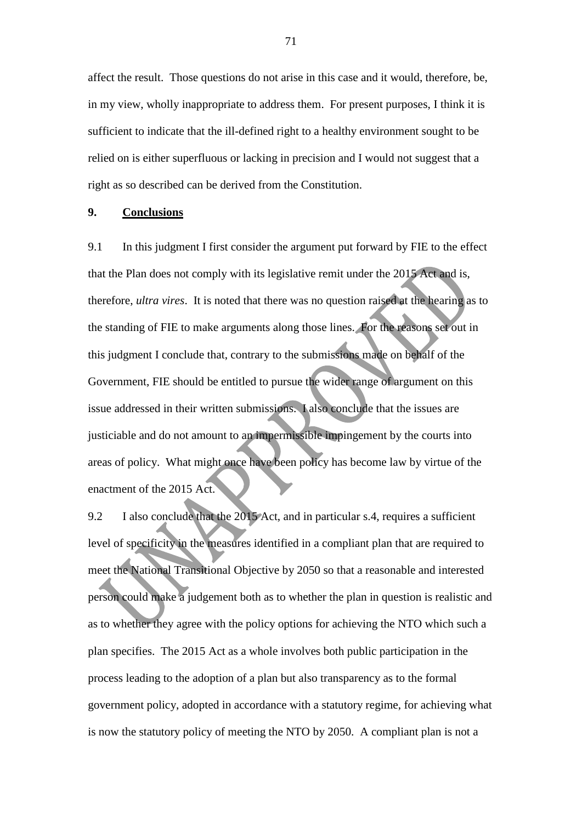affect the result. Those questions do not arise in this case and it would, therefore, be, in my view, wholly inappropriate to address them. For present purposes, I think it is sufficient to indicate that the ill-defined right to a healthy environment sought to be relied on is either superfluous or lacking in precision and I would not suggest that a right as so described can be derived from the Constitution.

## **9. Conclusions**

9.1 In this judgment I first consider the argument put forward by FIE to the effect that the Plan does not comply with its legislative remit under the 2015 Act and is, therefore, *ultra vires*. It is noted that there was no question raised at the hearing as to the standing of FIE to make arguments along those lines. For the reasons set out in this judgment I conclude that, contrary to the submissions made on behalf of the Government, FIE should be entitled to pursue the wider range of argument on this issue addressed in their written submissions. I also conclude that the issues are justiciable and do not amount to an impermissible impingement by the courts into areas of policy. What might once have been policy has become law by virtue of the enactment of the 2015 Act.

9.2 I also conclude that the 2015 Act, and in particular s.4, requires a sufficient level of specificity in the measures identified in a compliant plan that are required to meet the National Transitional Objective by 2050 so that a reasonable and interested person could make a judgement both as to whether the plan in question is realistic and as to whether they agree with the policy options for achieving the NTO which such a plan specifies. The 2015 Act as a whole involves both public participation in the process leading to the adoption of a plan but also transparency as to the formal government policy, adopted in accordance with a statutory regime, for achieving what is now the statutory policy of meeting the NTO by 2050. A compliant plan is not a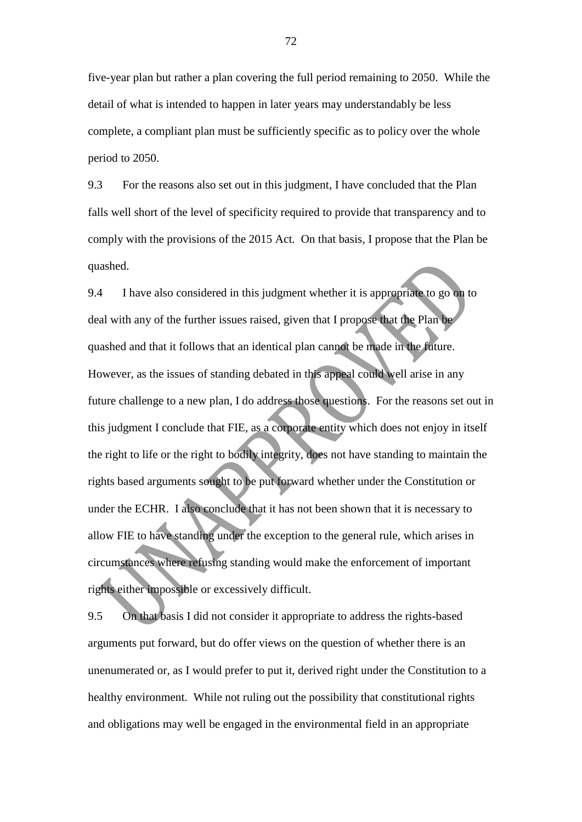five-year plan but rather a plan covering the full period remaining to 2050. While the detail of what is intended to happen in later years may understandably be less complete, a compliant plan must be sufficiently specific as to policy over the whole period to 2050.

9.3 For the reasons also set out in this judgment, I have concluded that the Plan falls well short of the level of specificity required to provide that transparency and to comply with the provisions of the 2015 Act. On that basis, I propose that the Plan be quashed.

9.4 I have also considered in this judgment whether it is appropriate to go on to deal with any of the further issues raised, given that I propose that the Plan be quashed and that it follows that an identical plan cannot be made in the future. However, as the issues of standing debated in this appeal could well arise in any future challenge to a new plan, I do address those questions. For the reasons set out in this judgment I conclude that FIE, as a corporate entity which does not enjoy in itself the right to life or the right to bodily integrity, does not have standing to maintain the rights based arguments sought to be put forward whether under the Constitution or under the ECHR. I also conclude that it has not been shown that it is necessary to allow FIE to have standing under the exception to the general rule, which arises in circumstances where refusing standing would make the enforcement of important rights either impossible or excessively difficult.

9.5 On that basis I did not consider it appropriate to address the rights-based arguments put forward, but do offer views on the question of whether there is an unenumerated or, as I would prefer to put it, derived right under the Constitution to a healthy environment. While not ruling out the possibility that constitutional rights and obligations may well be engaged in the environmental field in an appropriate